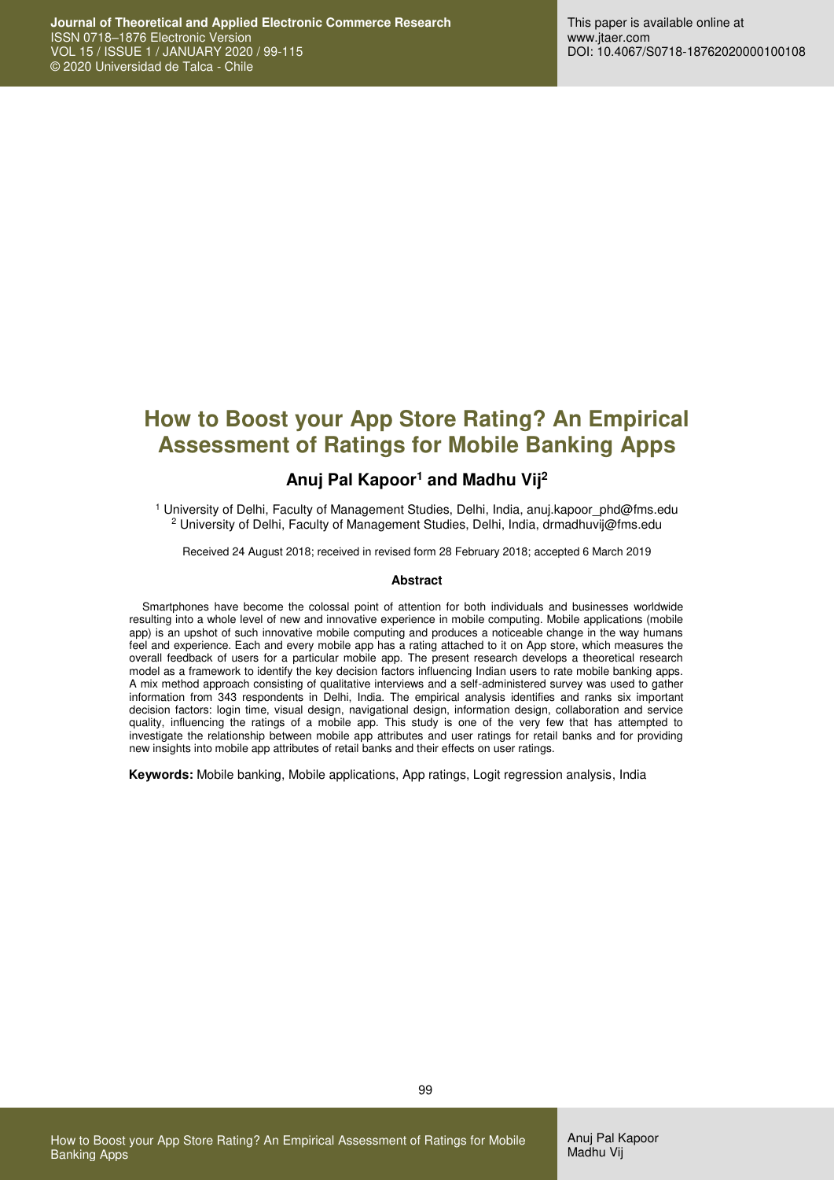# **How to Boost your App Store Rating? An Empirical Assessment of Ratings for Mobile Banking Apps**

### **Anuj Pal Kapoor<sup>1</sup> and Madhu Vij<sup>2</sup>**

1 University of Delhi, Faculty of Management Studies, Delhi, India, anuj.kapoor\_phd@fms.edu 2 University of Delhi, Faculty of Management Studies, Delhi, India, drmadhuvij@fms.edu

Received 24 August 2018; received in revised form 28 February 2018; accepted 6 March 2019

#### **Abstract**

Smartphones have become the colossal point of attention for both individuals and businesses worldwide resulting into a whole level of new and innovative experience in mobile computing. Mobile applications (mobile app) is an upshot of such innovative mobile computing and produces a noticeable change in the way humans feel and experience. Each and every mobile app has a rating attached to it on App store, which measures the overall feedback of users for a particular mobile app. The present research develops a theoretical research model as a framework to identify the key decision factors influencing Indian users to rate mobile banking apps. A mix method approach consisting of qualitative interviews and a self-administered survey was used to gather information from 343 respondents in Delhi, India. The empirical analysis identifies and ranks six important decision factors: login time, visual design, navigational design, information design, collaboration and service quality, influencing the ratings of a mobile app. This study is one of the very few that has attempted to investigate the relationship between mobile app attributes and user ratings for retail banks and for providing new insights into mobile app attributes of retail banks and their effects on user ratings.

**Keywords:** Mobile banking, Mobile applications, App ratings, Logit regression analysis, India

How to Boost your App Store Rating? An Empirical Assessment of Ratings for Mobile

Banking Apps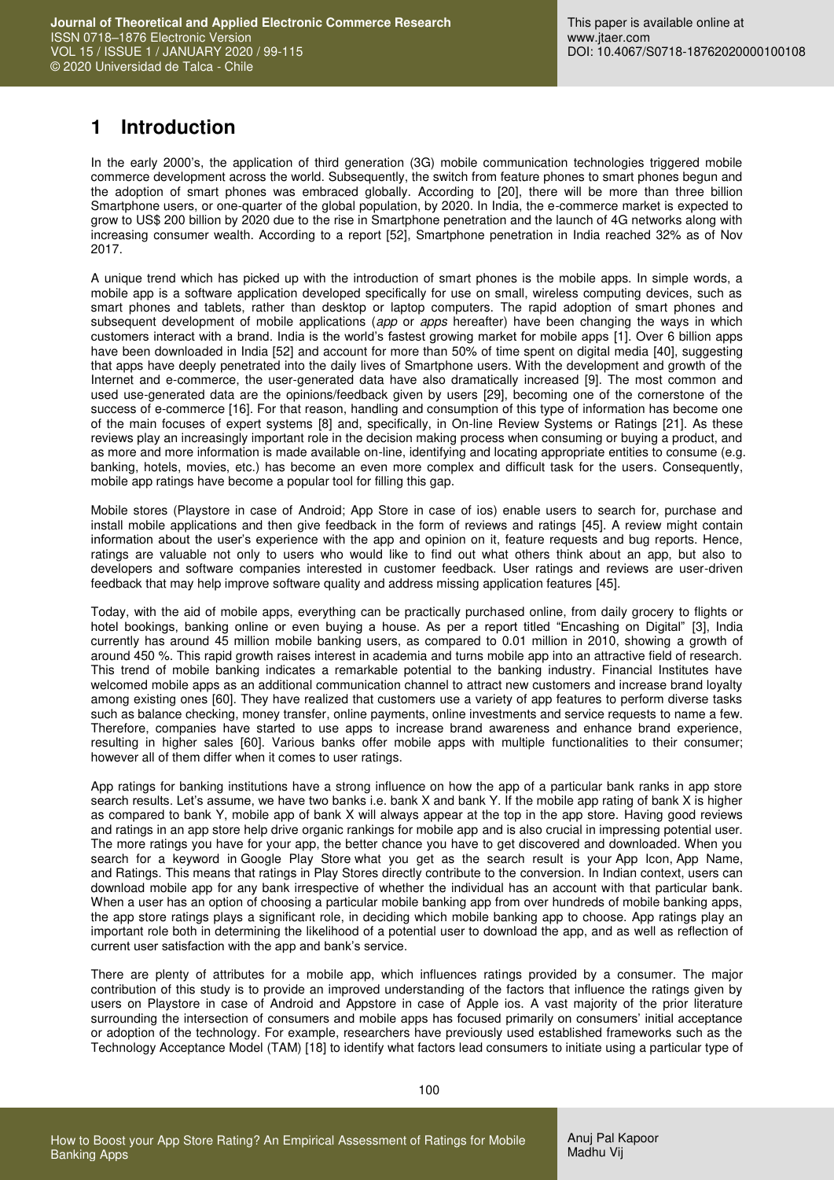# **1 Introduction**

In the early 2000's, the application of third generation (3G) mobile communication technologies triggered mobile commerce development across the world. Subsequently, the switch from feature phones to smart phones begun and the adoption of smart phones was embraced globally. According to [20], there will be more than three billion Smartphone users, or one-quarter of the global population, by 2020. In India, the e-commerce market is expected to grow to US\$ 200 billion by 2020 due to the rise in Smartphone penetration and the launch of 4G networks along with increasing consumer wealth. According to a report [52], Smartphone penetration in India reached 32% as of Nov 2017.

A unique trend which has picked up with the introduction of smart phones is the mobile apps. In simple words, a mobile app is a software application developed specifically for use on small, wireless computing devices, such as smart phones and tablets, rather than desktop or laptop computers. The rapid adoption of smart phones and subsequent development of mobile applications (*app* or *apps* hereafter) have been changing the ways in which customers interact with a brand. India is the world's fastest growing market for mobile apps [1]. Over 6 billion apps have been downloaded in India [52] and account for more than 50% of time spent on digital media [40], suggesting that apps have deeply penetrated into the daily lives of Smartphone users. With the development and growth of the Internet and e-commerce, the user-generated data have also dramatically increased [9]. The most common and used use-generated data are the opinions/feedback given by users [29], becoming one of the cornerstone of the success of e-commerce [16]. For that reason, handling and consumption of this type of information has become one of the main focuses of expert systems [8] and, specifically, in On-line Review Systems or Ratings [21]. As these reviews play an increasingly important role in the decision making process when consuming or buying a product, and as more and more information is made available on-line, identifying and locating appropriate entities to consume (e.g. banking, hotels, movies, etc.) has become an even more complex and difficult task for the users. Consequently, mobile app ratings have become a popular tool for filling this gap.

Mobile stores (Playstore in case of Android; App Store in case of ios) enable users to search for, purchase and install mobile applications and then give feedback in the form of reviews and ratings [45]. A review might contain information about the user's experience with the app and opinion on it, feature requests and bug reports. Hence, ratings are valuable not only to users who would like to find out what others think about an app, but also to developers and software companies interested in customer feedback. User ratings and reviews are user-driven feedback that may help improve software quality and address missing application features [45].

Today, with the aid of mobile apps, everything can be practically purchased online, from daily grocery to flights or hotel bookings, banking online or even buying a house. As per a report titled "Encashing on Digital" [3], India currently has around 45 million mobile banking users, as compared to 0.01 million in 2010, showing a growth of around 450 %. This rapid growth raises interest in academia and turns mobile app into an attractive field of research. This trend of mobile banking indicates a remarkable potential to the banking industry. Financial Institutes have welcomed mobile apps as an additional communication channel to attract new customers and increase brand loyalty among existing ones [60]. They have realized that customers use a variety of app features to perform diverse tasks such as balance checking, money transfer, online payments, online investments and service requests to name a few. Therefore, companies have started to use apps to increase brand awareness and enhance brand experience, resulting in higher sales [60]. Various banks offer mobile apps with multiple functionalities to their consumer; however all of them differ when it comes to user ratings.

App ratings for banking institutions have a strong influence on how the app of a particular bank ranks in app store search results. Let's assume, we have two banks i.e. bank X and bank Y. If the mobile app rating of bank X is higher as compared to bank Y, mobile app of bank X will always appear at the top in the app store. Having good reviews and ratings in an app store help drive organic rankings for mobile app and is also crucial in impressing potential user. The more ratings you have for your app, the better chance you have to get discovered and downloaded. When you search for a keyword in Google Play Store what you get as the search result is your App Icon, App Name, and Ratings. This means that ratings in Play Stores directly contribute to the conversion. In Indian context, users can download mobile app for any bank irrespective of whether the individual has an account with that particular bank. When a user has an option of choosing a particular mobile banking app from over hundreds of mobile banking apps, the app store ratings plays a significant role, in deciding which mobile banking app to choose. App ratings play an important role both in determining the likelihood of a potential user to download the app, and as well as reflection of current user satisfaction with the app and bank's service.

There are plenty of attributes for a mobile app, which influences ratings provided by a consumer. The major contribution of this study is to provide an improved understanding of the factors that influence the ratings given by users on Playstore in case of Android and Appstore in case of Apple ios. A vast majority of the prior literature surrounding the intersection of consumers and mobile apps has focused primarily on consumers' initial acceptance or adoption of the technology. For example, researchers have previously used established frameworks such as the Technology Acceptance Model (TAM) [18] to identify what factors lead consumers to initiate using a particular type of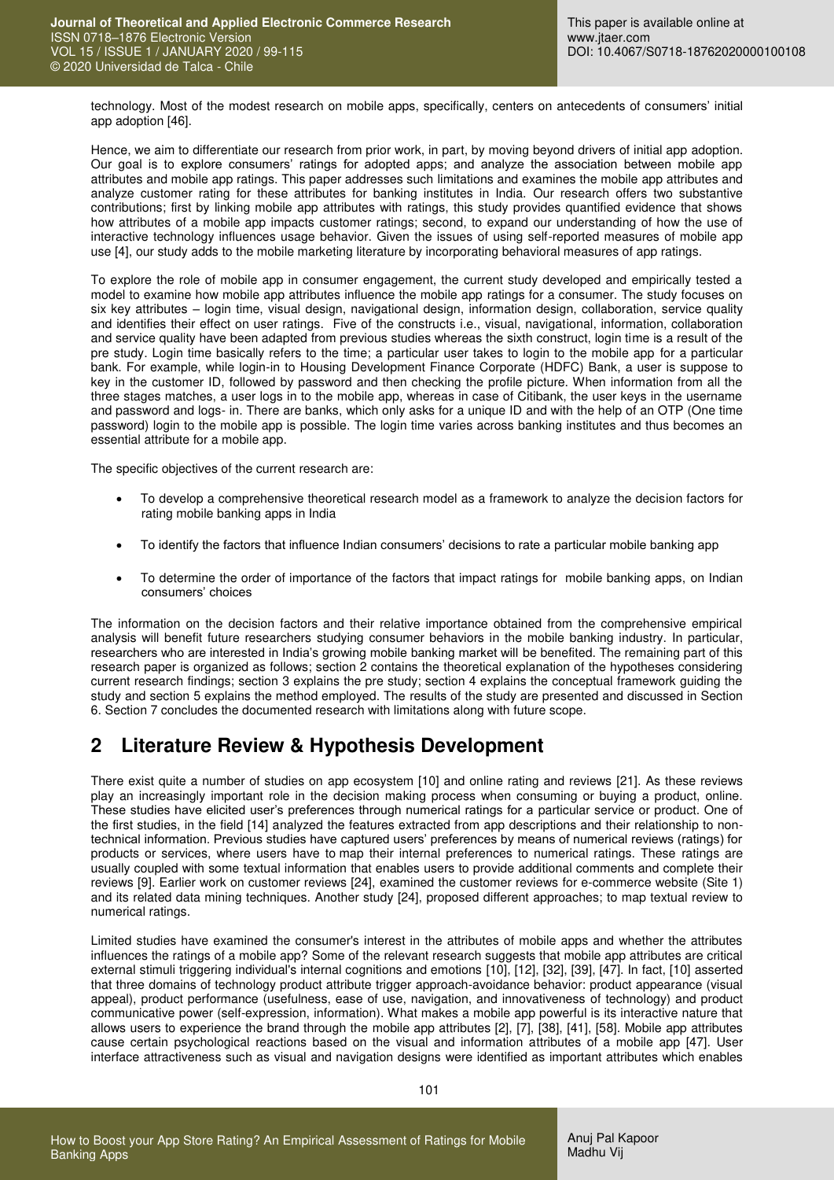technology. Most of the modest research on mobile apps, specifically, centers on antecedents of consumers' initial app adoption [46].

Hence, we aim to differentiate our research from prior work, in part, by moving beyond drivers of initial app adoption. Our goal is to explore consumers' ratings for adopted apps; and analyze the association between mobile app attributes and mobile app ratings. This paper addresses such limitations and examines the mobile app attributes and analyze customer rating for these attributes for banking institutes in India. Our research offers two substantive contributions; first by linking mobile app attributes with ratings, this study provides quantified evidence that shows how attributes of a mobile app impacts customer ratings; second, to expand our understanding of how the use of interactive technology influences usage behavior. Given the issues of using self-reported measures of mobile app use [4], our study adds to the mobile marketing literature by incorporating behavioral measures of app ratings.

To explore the role of mobile app in consumer engagement, the current study developed and empirically tested a model to examine how mobile app attributes influence the mobile app ratings for a consumer. The study focuses on six key attributes – login time, visual design, navigational design, information design, collaboration, service quality and identifies their effect on user ratings. Five of the constructs i.e., visual, navigational, information, collaboration and service quality have been adapted from previous studies whereas the sixth construct, login time is a result of the pre study. Login time basically refers to the time; a particular user takes to login to the mobile app for a particular bank. For example, while login-in to Housing Development Finance Corporate (HDFC) Bank, a user is suppose to key in the customer ID, followed by password and then checking the profile picture. When information from all the three stages matches, a user logs in to the mobile app, whereas in case of Citibank, the user keys in the username and password and logs- in. There are banks, which only asks for a unique ID and with the help of an OTP (One time password) login to the mobile app is possible. The login time varies across banking institutes and thus becomes an essential attribute for a mobile app.

The specific objectives of the current research are:

- To develop a comprehensive theoretical research model as a framework to analyze the decision factors for rating mobile banking apps in India
- To identify the factors that influence Indian consumers' decisions to rate a particular mobile banking app
- To determine the order of importance of the factors that impact ratings for mobile banking apps, on Indian consumers' choices

The information on the decision factors and their relative importance obtained from the comprehensive empirical analysis will benefit future researchers studying consumer behaviors in the mobile banking industry. In particular, researchers who are interested in India's growing mobile banking market will be benefited. The remaining part of this research paper is organized as follows; section 2 contains the theoretical explanation of the hypotheses considering current research findings; section 3 explains the pre study; section 4 explains the conceptual framework guiding the study and section 5 explains the method employed. The results of the study are presented and discussed in Section 6. Section 7 concludes the documented research with limitations along with future scope.

## **2 Literature Review & Hypothesis Development**

There exist quite a number of studies on app ecosystem [10] and online rating and reviews [21]. As these reviews play an increasingly important role in the decision making process when consuming or buying a product, online. These studies have elicited user's preferences through numerical ratings for a particular service or product. One of the first studies, in the field [14] analyzed the features extracted from app descriptions and their relationship to nontechnical information. Previous studies have captured users' preferences by means of numerical reviews (ratings) for products or services, where users have to map their internal preferences to numerical ratings. These ratings are usually coupled with some textual information that enables users to provide additional comments and complete their reviews [9]. Earlier work on customer reviews [24], examined the customer reviews for e-commerce website (Site 1) and its related data mining techniques. Another study [24], proposed different approaches; to map textual review to numerical ratings.

Limited studies have examined the consumer's interest in the attributes of mobile apps and whether the attributes influences the ratings of a mobile app? Some of the relevant research suggests that mobile app attributes are critical external stimuli triggering individual's internal cognitions and emotions [10], [12], [32], [39], [47]. In fact, [10] asserted that three domains of technology product attribute trigger approach-avoidance behavior: product appearance (visual appeal), product performance (usefulness, ease of use, navigation, and innovativeness of technology) and product communicative power (self-expression, information). What makes a mobile app powerful is its interactive nature that allows users to experience the brand through the mobile app attributes [2], [7], [38], [41], [58]. Mobile app attributes cause certain psychological reactions based on the visual and information attributes of a mobile app [47]. User interface attractiveness such as visual and navigation designs were identified as important attributes which enables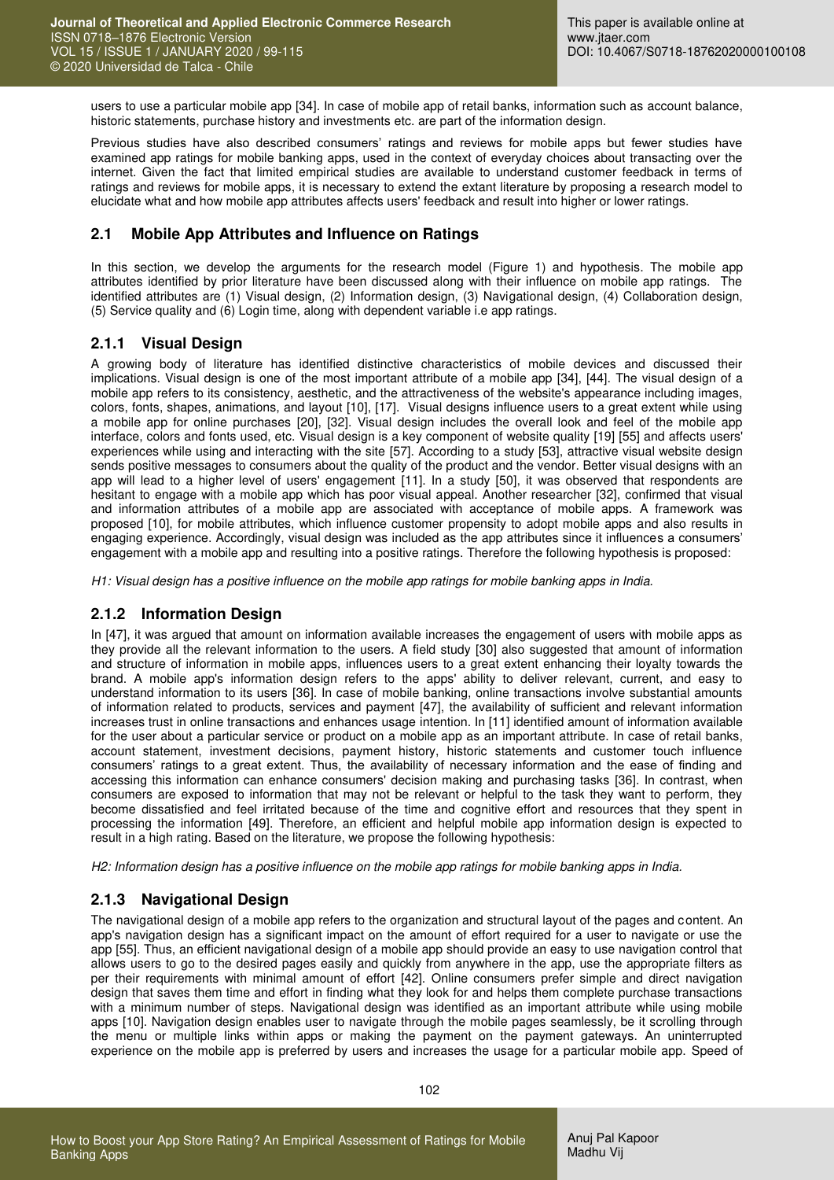users to use a particular mobile app [34]. In case of mobile app of retail banks, information such as account balance, historic statements, purchase history and investments etc. are part of the information design.

Previous studies have also described consumers' ratings and reviews for mobile apps but fewer studies have examined app ratings for mobile banking apps, used in the context of everyday choices about transacting over the internet. Given the fact that limited empirical studies are available to understand customer feedback in terms of ratings and reviews for mobile apps, it is necessary to extend the extant literature by proposing a research model to elucidate what and how mobile app attributes affects users' feedback and result into higher or lower ratings.

### **2.1 Mobile App Attributes and Influence on Ratings**

In this section, we develop the arguments for the research model (Figure 1) and hypothesis. The mobile app attributes identified by prior literature have been discussed along with their influence on mobile app ratings. The identified attributes are (1) Visual design, (2) Information design, (3) Navigational design, (4) Collaboration design, (5) Service quality and (6) Login time, along with dependent variable i.e app ratings.

### **2.1.1 Visual Design**

A growing body of literature has identified distinctive characteristics of mobile devices and discussed their implications. Visual design is one of the most important attribute of a mobile app [34], [44]. The visual design of a mobile app refers to its consistency, aesthetic, and the attractiveness of the website's appearance including images, colors, fonts, shapes, animations, and layout [10], [17]. Visual designs influence users to a great extent while using a mobile app for online purchases [20], [32]. Visual design includes the overall look and feel of the mobile app interface, colors and fonts used, etc. Visual design is a key component of website quality [\[19\] \[](#page-14-0)55] and affects users' experiences while using and interacting with the site [57]. According to a study [53], attractive visual website design sends positive messages to consumers about the quality of the product and the vendor. Better visual designs with an app will lead to a higher level of users' engagement [11]. In a study [50], it was observed that respondents are hesitant to engage with a mobile app which has poor visual appeal. Another researcher [32], confirmed that visual and information attributes of a mobile app are associated with acceptance of mobile apps. A framework was proposed [10], for mobile attributes, which influence customer propensity to adopt mobile apps and also results in engaging experience. Accordingly, visual design was included as the app attributes since it influences a consumers' engagement with a mobile app and resulting into a positive ratings. Therefore the following hypothesis is proposed:

*H1: Visual design has a positive influence on the mobile app ratings for mobile banking apps in India.* 

### **2.1.2 Information Design**

In [47], it was argued that amount on information available increases the engagement of users with mobile apps as they provide all the relevant information to the users. A field study [30] also suggested that amount of information and structure of information in mobile apps, influences users to a great extent enhancing their loyalty towards the brand. A mobile app's information design refers to the apps' ability to deliver relevant, current, and easy to understand information to its users [36]. In case of mobile banking, online transactions involve substantial amounts of information related to products, services and payment [47], the availability of sufficient and relevant information increases trust in online transactions and enhances usage intention. In [11] identified amount of information available for the user about a particular service or product on a mobile app as an important attribute. In case of retail banks, account statement, investment decisions, payment history, historic statements and customer touch influence consumers' ratings to a great extent. Thus, the availability of necessary information and the ease of finding and accessing this information can enhance consumers' decision making and purchasing tasks [36]. In contrast, when consumers are exposed to information that may not be relevant or helpful to the task they want to perform, they become dissatisfied and feel irritated because of the time and cognitive effort and resources that they spent in processing the information [49]. Therefore, an efficient and helpful mobile app information design is expected to result in a high rating. Based on the literature, we propose the following hypothesis:

*H2: Information design has a positive influence on the mobile app ratings for mobile banking apps in India.* 

### **2.1.3 Navigational Design**

The navigational design of a mobile app refers to the organization and structural layout of the pages and content. An app's navigation design has a significant impact on the amount of effort required for a user to navigate or use the app [55]. Thus, an efficient navigational design of a mobile app should provide an easy to use navigation control that allows users to go to the desired pages easily and quickly from anywhere in the app, use the appropriate filters as per their requirements with minimal amount of effort [42]. Online consumers prefer simple and direct navigation design that saves them time and effort in finding what they look for and helps them complete purchase transactions with a minimum number of steps. Navigational design was identified as an important attribute while using mobile apps [10]. Navigation design enables user to navigate through the mobile pages seamlessly, be it scrolling through the menu or multiple links within apps or making the payment on the payment gateways. An uninterrupted experience on the mobile app is preferred by users and increases the usage for a particular mobile app. Speed of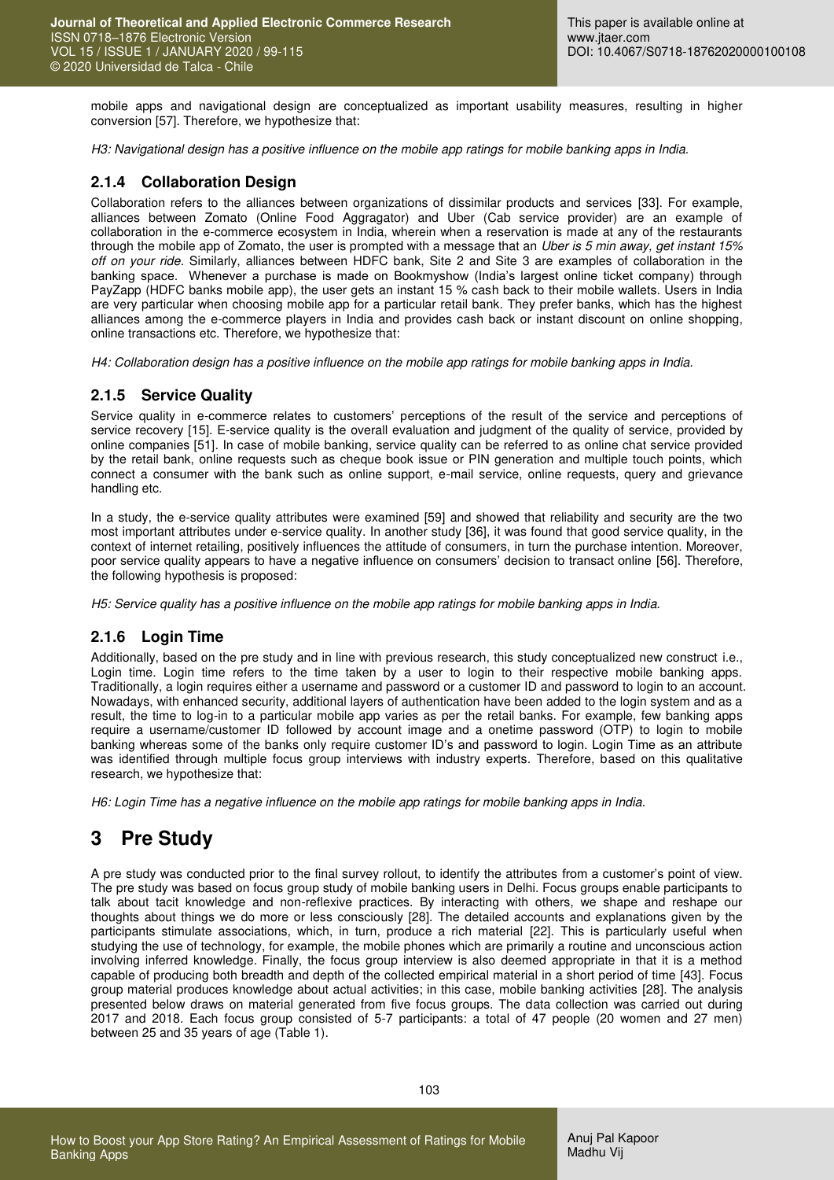mobile apps and navigational design are conceptualized as important usability measures, resulting in higher conversion [57]. Therefore, we hypothesize that:

*H3: Navigational design has a positive influence on the mobile app ratings for mobile banking apps in India.* 

### **2.1.4 Collaboration Design**

Collaboration refers to the alliances between organizations of dissimilar products and services [33]. For example, alliances between Zomato (Online Food Aggragator) and Uber (Cab service provider) are an example of collaboration in the e-commerce ecosystem in India, wherein when a reservation is made at any of the restaurants through the mobile app of Zomato, the user is prompted with a message that an *Uber is 5 min away, get instant 15% off on your ride*. Similarly, alliances between HDFC bank, Site 2 and Site 3 are examples of collaboration in the banking space. Whenever a purchase is made on Bookmyshow (India's largest online ticket company) through PayZapp (HDFC banks mobile app), the user gets an instant 15 % cash back to their mobile wallets. Users in India are very particular when choosing mobile app for a particular retail bank. They prefer banks, which has the highest alliances among the e-commerce players in India and provides cash back or instant discount on online shopping, online transactions etc. Therefore, we hypothesize that:

*H4: Collaboration design has a positive influence on the mobile app ratings for mobile banking apps in India.* 

#### **2.1.5 Service Quality**

Service quality in e-commerce relates to customers' perceptions of the result of the service and perceptions of service recovery [15]. E-service quality is the overall evaluation and judgment of the quality of service, provided by online companies [51]. In case of mobile banking, service quality can be referred to as online chat service provided by the retail bank, online requests such as cheque book issue or PIN generation and multiple touch points, which connect a consumer with the bank such as online support, e-mail service, online requests, query and grievance handling etc.

In a study, the e-service quality attributes were examined [59] and showed that reliability and security are the two most important attributes under e-service quality. In another study [36], it was found that good service quality, in the context of internet retailing, positively influences the attitude of consumers, in turn the purchase intention. Moreover, poor service quality appears to have a negative influence on consumers' decision to transact online [56]. Therefore, the following hypothesis is proposed:

*H5: Service quality has a positive influence on the mobile app ratings for mobile banking apps in India.* 

#### **2.1.6 Login Time**

Additionally, based on the pre study and in line with previous research, this study conceptualized new construct i.e., Login time. Login time refers to the time taken by a user to login to their respective mobile banking apps. Traditionally, a login requires either a username and password or a customer ID and password to login to an account. Nowadays, with enhanced security, additional layers of authentication have been added to the login system and as a result, the time to log-in to a particular mobile app varies as per the retail banks. For example, few banking apps require a username/customer ID followed by account image and a onetime password (OTP) to login to mobile banking whereas some of the banks only require customer ID's and password to login. Login Time as an attribute was identified through multiple focus group interviews with industry experts. Therefore, based on this qualitative research, we hypothesize that:

*H6: Login Time has a negative influence on the mobile app ratings for mobile banking apps in India.* 

## **3 Pre Study**

A pre study was conducted prior to the final survey rollout, to identify the attributes from a customer's point of view. The pre study was based on focus group study of mobile banking users in Delhi. Focus groups enable participants to talk about tacit knowledge and non-reflexive practices. By interacting with others, we shape and reshape our thoughts about things we do more or less consciously [28]. The detailed accounts and explanations given by the participants stimulate associations, which, in turn, produce a rich material [22]. This is particularly useful when studying the use of technology, for example, the mobile phones which are primarily a routine and unconscious action involving inferred knowledge. Finally, the focus group interview is also deemed appropriate in that it is a method capable of producing both breadth and depth of the collected empirical material in a short period of time [43]. Focus group material produces knowledge about actual activities; in this case, mobile banking activities [28]. The analysis presented below draws on material generated from five focus groups. The data collection was carried out during 2017 and 2018. Each focus group consisted of 5-7 participants: a total of 47 people (20 women and 27 men) between 25 and 35 years of age (Table 1).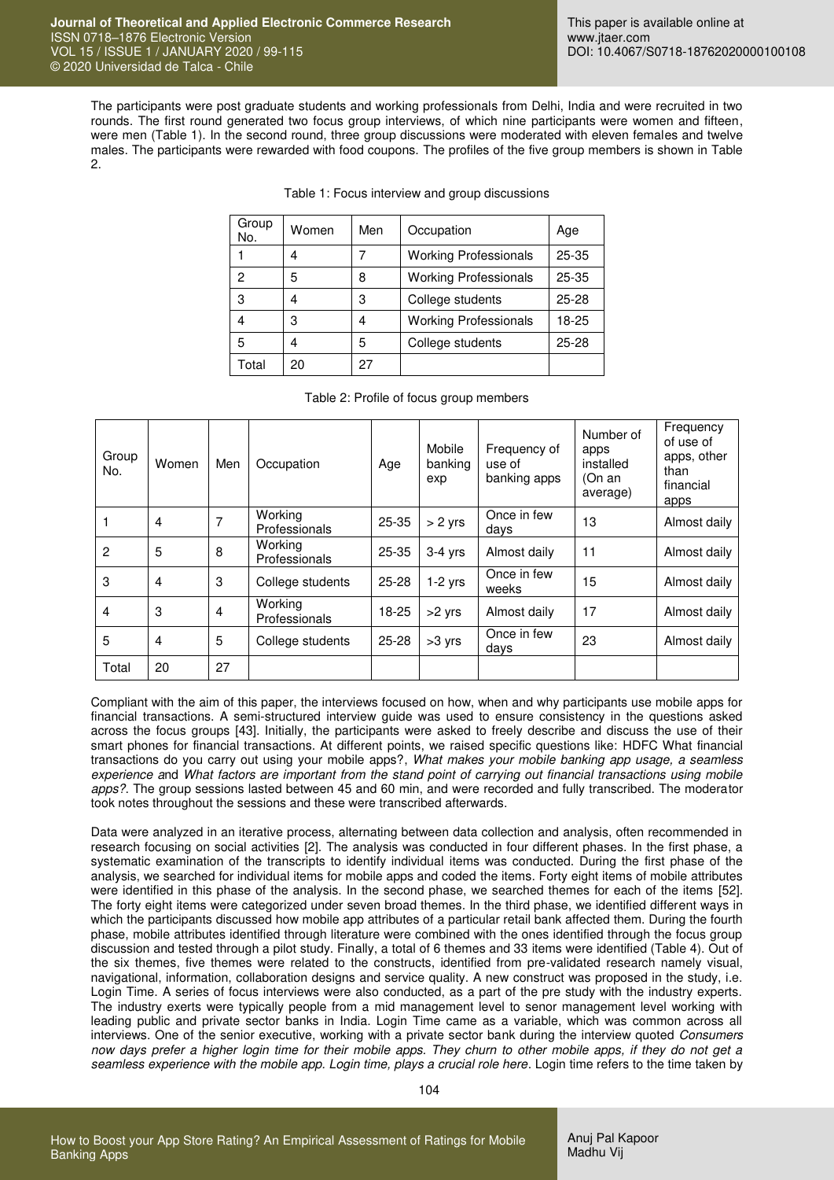The participants were post graduate students and working professionals from Delhi, India and were recruited in two rounds. The first round generated two focus group interviews, of which nine participants were women and fifteen, were men (Table 1). In the second round, three group discussions were moderated with eleven females and twelve males. The participants were rewarded with food coupons. The profiles of the five group members is shown in Table 2.

| Group<br>No. | Women | Men | Occupation                   | Age       |
|--------------|-------|-----|------------------------------|-----------|
|              | 4     |     | <b>Working Professionals</b> | 25-35     |
| 2            | 5     | 8   | <b>Working Professionals</b> | 25-35     |
| 3            | 4     | 3   | College students             | $25 - 28$ |
| 4            | 3     | 4   | <b>Working Professionals</b> | 18-25     |
| 5            |       | 5   | College students             | 25-28     |
| Total        | 20    | 27  |                              |           |

Table 1: Focus interview and group discussions

| Group<br>No.   | Women | Men | Occupation               | Age       | Mobile<br>banking<br>exp | Frequency of<br>use of<br>banking apps | Number of<br>apps<br>installed<br>(On an<br>average) | Frequency<br>of use of<br>apps, other<br>than<br>financial<br>apps |
|----------------|-------|-----|--------------------------|-----------|--------------------------|----------------------------------------|------------------------------------------------------|--------------------------------------------------------------------|
|                | 4     | 7   | Working<br>Professionals | $25 - 35$ | $> 2$ yrs                | Once in few<br>days                    | 13                                                   | Almost daily                                                       |
| $\overline{2}$ | 5     | 8   | Working<br>Professionals | $25 - 35$ | $3-4$ yrs                | Almost daily                           | 11                                                   | Almost daily                                                       |
| 3              | 4     | 3   | College students         | $25 - 28$ | $1-2$ yrs                | Once in few<br>weeks                   | 15                                                   | Almost daily                                                       |
| 4              | 3     | 4   | Working<br>Professionals | 18-25     | >2 yrs                   | Almost daily                           | 17                                                   | Almost daily                                                       |
| 5              | 4     | 5   | College students         | $25 - 28$ | $>3$ yrs                 | Once in few<br>davs                    | 23                                                   | Almost daily                                                       |
| Total          | 20    | 27  |                          |           |                          |                                        |                                                      |                                                                    |

#### Table 2: Profile of focus group members

Compliant with the aim of this paper, the interviews focused on how, when and why participants use mobile apps for financial transactions. A semi-structured interview guide was used to ensure consistency in the questions asked across the focus groups [43]. Initially, the participants were asked to freely describe and discuss the use of their smart phones for financial transactions. At different points, we raised specific questions like: HDFC What financial transactions do you carry out using your mobile apps?, *What makes your mobile banking app usage, a seamless experience a*nd *What factors are important from the stand point of carrying out financial transactions using mobile apps?*. The group sessions lasted between 45 and 60 min, and were recorded and fully transcribed. The moderator took notes throughout the sessions and these were transcribed afterwards.

Data were analyzed in an iterative process, alternating between data collection and analysis, often recommended in research focusing on social activities [2]. The analysis was conducted in four different phases. In the first phase, a systematic examination of the transcripts to identify individual items was conducted. During the first phase of the analysis, we searched for individual items for mobile apps and coded the items. Forty eight items of mobile attributes were identified in this phase of the analysis. In the second phase, we searched themes for each of the items [52]. The forty eight items were categorized under seven broad themes. In the third phase, we identified different ways in which the participants discussed how mobile app attributes of a particular retail bank affected them. During the fourth phase, mobile attributes identified through literature were combined with the ones identified through the focus group discussion and tested through a pilot study. Finally, a total of 6 themes and 33 items were identified (Table 4). Out of the six themes, five themes were related to the constructs, identified from pre-validated research namely visual, navigational, information, collaboration designs and service quality. A new construct was proposed in the study, i.e. Login Time. A series of focus interviews were also conducted, as a part of the pre study with the industry experts. The industry exerts were typically people from a mid management level to senor management level working with leading public and private sector banks in India. Login Time came as a variable, which was common across all interviews. One of the senior executive, working with a private sector bank during the interview quoted *Consumers now days prefer a higher login time for their mobile apps. They churn to other mobile apps, if they do not get a seamless experience with the mobile app. Login time, plays a crucial role here*. Login time refers to the time taken by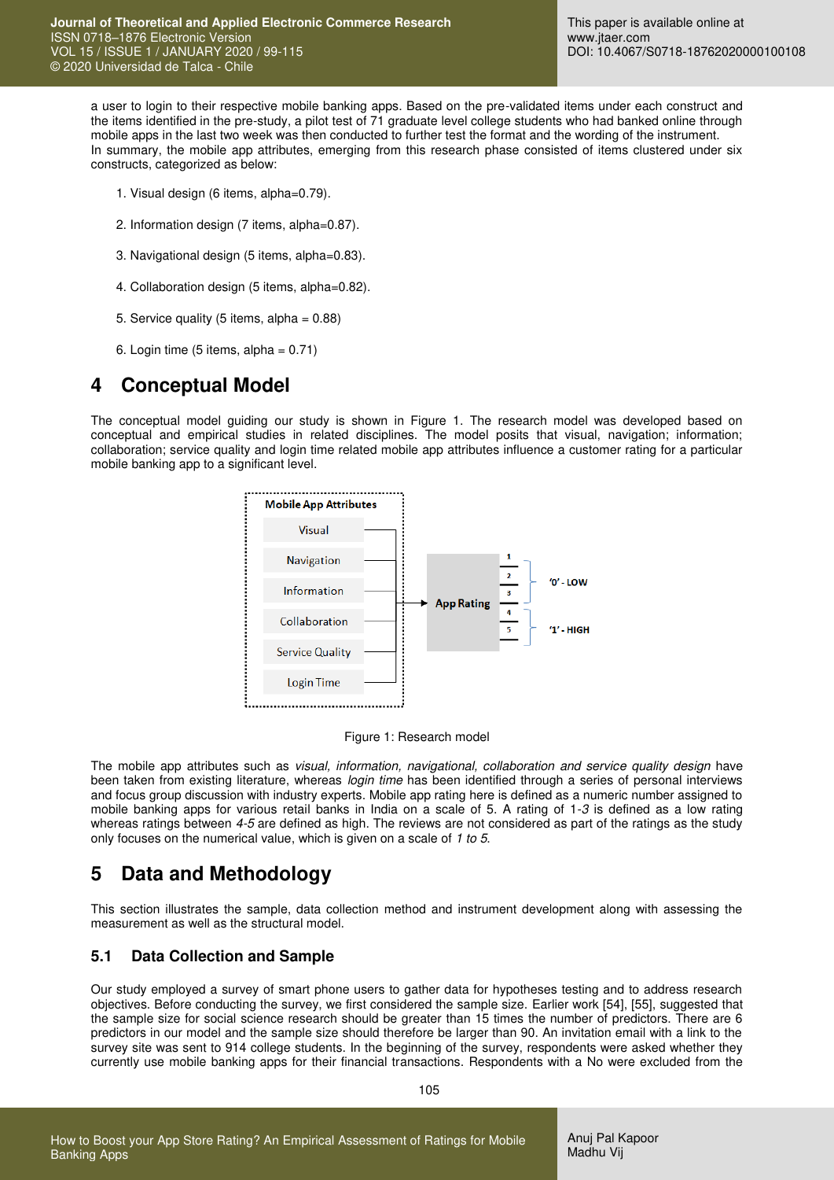a user to login to their respective mobile banking apps. Based on the pre-validated items under each construct and the items identified in the pre-study, a pilot test of 71 graduate level college students who had banked online through mobile apps in the last two week was then conducted to further test the format and the wording of the instrument. In summary, the mobile app attributes, emerging from this research phase consisted of items clustered under six constructs, categorized as below:

- 1. Visual design (6 items, alpha=0.79).
- 2. Information design (7 items, alpha=0.87).
- 3. Navigational design (5 items, alpha=0.83).
- 4. Collaboration design (5 items, alpha=0.82).
- 5. Service quality (5 items, alpha = 0.88)
- 6. Login time (5 items, alpha =  $0.71$ )

### **4 Conceptual Model**

The conceptual model guiding our study is shown in Figure 1. The research model was developed based on conceptual and empirical studies in related disciplines. The model posits that visual, navigation; information; collaboration; service quality and login time related mobile app attributes influence a customer rating for a particular mobile banking app to a significant level.



Figure 1: Research model

The mobile app attributes such as *visual, information, navigational, collaboration and service quality design* have been taken from existing literature, whereas *login time* has been identified through a series of personal interviews and focus group discussion with industry experts. Mobile app rating here is defined as a numeric number assigned to mobile banking apps for various retail banks in India on a scale of 5. A rating of 1-*3* is defined as a low rating whereas ratings between *4-5* are defined as high. The reviews are not considered as part of the ratings as the study only focuses on the numerical value, which is given on a scale of *1 to 5*.

## **5 Data and Methodology**

This section illustrates the sample, data collection method and instrument development along with assessing the measurement as well as the structural model.

### **5.1 Data Collection and Sample**

Our study employed a survey of smart phone users to gather data for hypotheses testing and to address research objectives. Before conducting the survey, we first considered the sample size. Earlier work [54], [55], suggested that the sample size for social science research should be greater than 15 times the number of predictors. There are 6 predictors in our model and the sample size should therefore be larger than 90. An invitation email with a link to the survey site was sent to 914 college students. In the beginning of the survey, respondents were asked whether they currently use mobile banking apps for their financial transactions. Respondents with a No were excluded from the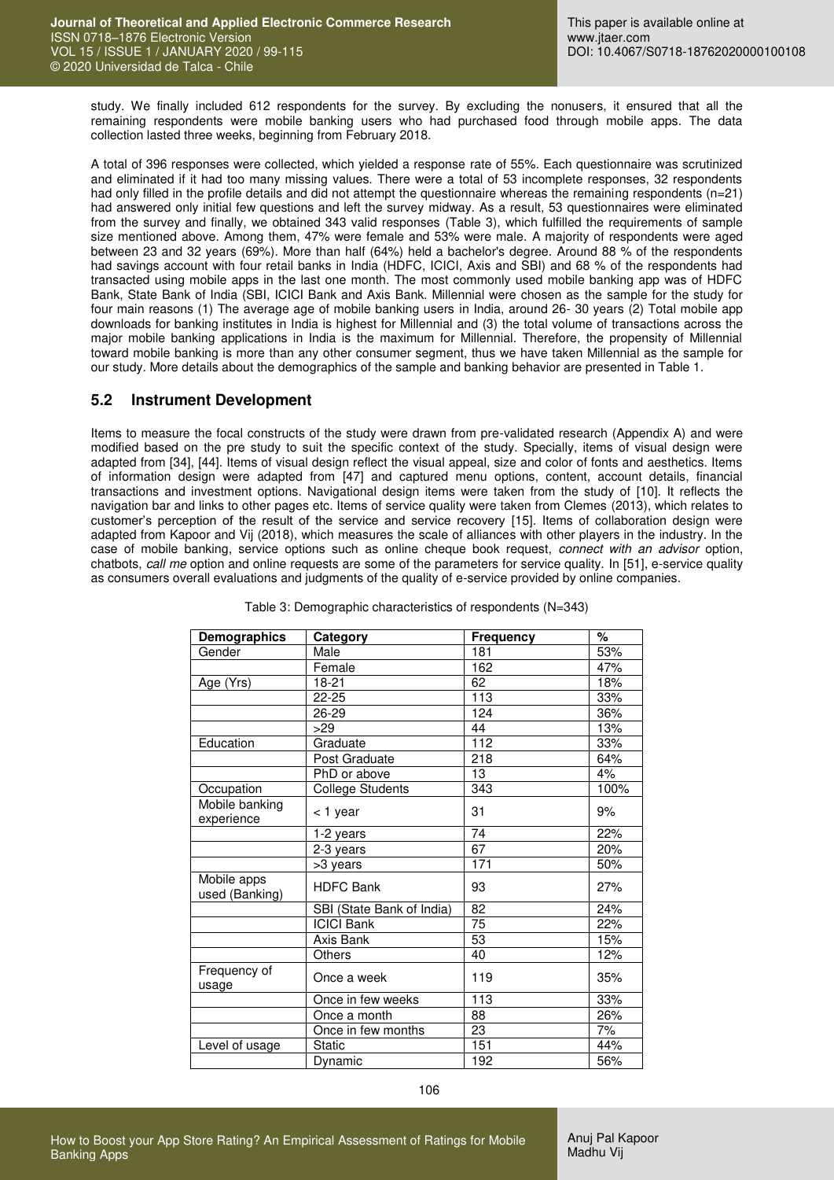study. We finally included 612 respondents for the survey. By excluding the nonusers, it ensured that all the remaining respondents were mobile banking users who had purchased food through mobile apps. The data collection lasted three weeks, beginning from February 2018.

A total of 396 responses were collected, which yielded a response rate of 55%. Each questionnaire was scrutinized and eliminated if it had too many missing values. There were a total of 53 incomplete responses, 32 respondents had only filled in the profile details and did not attempt the questionnaire whereas the remaining respondents (n=21) had answered only initial few questions and left the survey midway. As a result, 53 questionnaires were eliminated from the survey and finally, we obtained 343 valid responses (Table 3), which fulfilled the requirements of sample size mentioned above. Among them, 47% were female and 53% were male. A majority of respondents were aged between 23 and 32 years (69%). More than half (64%) held a bachelor's degree. Around 88 % of the respondents had savings account with four retail banks in India (HDFC, ICICI, Axis and SBI) and 68 % of the respondents had transacted using mobile apps in the last one month. The most commonly used mobile banking app was of HDFC Bank, State Bank of India (SBI, ICICI Bank and Axis Bank. Millennial were chosen as the sample for the study for four main reasons (1) The average age of mobile banking users in India, around 26- 30 years (2) Total mobile app downloads for banking institutes in India is highest for Millennial and (3) the total volume of transactions across the major mobile banking applications in India is the maximum for Millennial. Therefore, the propensity of Millennial toward mobile banking is more than any other consumer segment, thus we have taken Millennial as the sample for our study. More details about the demographics of the sample and banking behavior are presented in Table 1.

#### **5.2 Instrument Development**

Items to measure the focal constructs of the study were drawn from pre-validated research (Appendix A) and were modified based on the pre study to suit the specific context of the study. Specially, items of visual design were adapted from [34], [44]. Items of visual design reflect the visual appeal, size and color of fonts and aesthetics. Items of information design were adapted from [47] and captured menu options, content, account details, financial transactions and investment options. Navigational design items were taken from the study of [10]. It reflects the navigation bar and links to other pages etc. Items of service quality were taken from Clemes (2013), which relates to customer's perception of the result of the service and service recovery [15]. Items of collaboration design were adapted from Kapoor and Vij (2018), which measures the scale of alliances with other players in the industry. In the case of mobile banking, service options such as online cheque book request, *connect with an advisor* option, chatbots, *call me* option and online requests are some of the parameters for service quality. In [51], e-service quality as consumers overall evaluations and judgments of the quality of e-service provided by online companies.

| Demographics                  | Category                  | Frequency        | %    |
|-------------------------------|---------------------------|------------------|------|
| Gender                        | Male                      | 181              | 53%  |
|                               | Female                    | 162              | 47%  |
| Age (Yrs)                     | 18-21                     | 62               | 18%  |
|                               | $22 - 25$                 | $\overline{113}$ | 33%  |
|                               | 26-29                     | 124              | 36%  |
|                               | >29                       | 44               | 13%  |
| Education                     | Graduate                  | 112              | 33%  |
|                               | Post Graduate             | 218              | 64%  |
|                               | PhD or above              | 13               | 4%   |
| Occupation                    | <b>College Students</b>   | 343              | 100% |
| Mobile banking<br>experience  | < 1 year                  | 31               | 9%   |
|                               | 1-2 years                 | $\overline{74}$  | 22%  |
|                               | 2-3 years                 | 67               | 20%  |
|                               | >3 years                  | 171              | 50%  |
| Mobile apps<br>used (Banking) | <b>HDFC Bank</b>          | 93               | 27%  |
|                               | SBI (State Bank of India) | 82               | 24%  |
|                               | <b>ICICI Bank</b>         | $\overline{75}$  | 22%  |
|                               | Axis Bank                 | 53               | 15%  |
|                               | <b>Others</b>             | 40               | 12%  |
| Frequency of<br>usage         | Once a week               | 119              | 35%  |
|                               | Once in few weeks         | 113              | 33%  |
|                               | Once a month              | 88               | 26%  |
|                               | Once in few months        | 23               | 7%   |
| Level of usage                | <b>Static</b>             | 151              | 44%  |
|                               | Dynamic                   | 192              | 56%  |

Table 3: Demographic characteristics of respondents (N=343)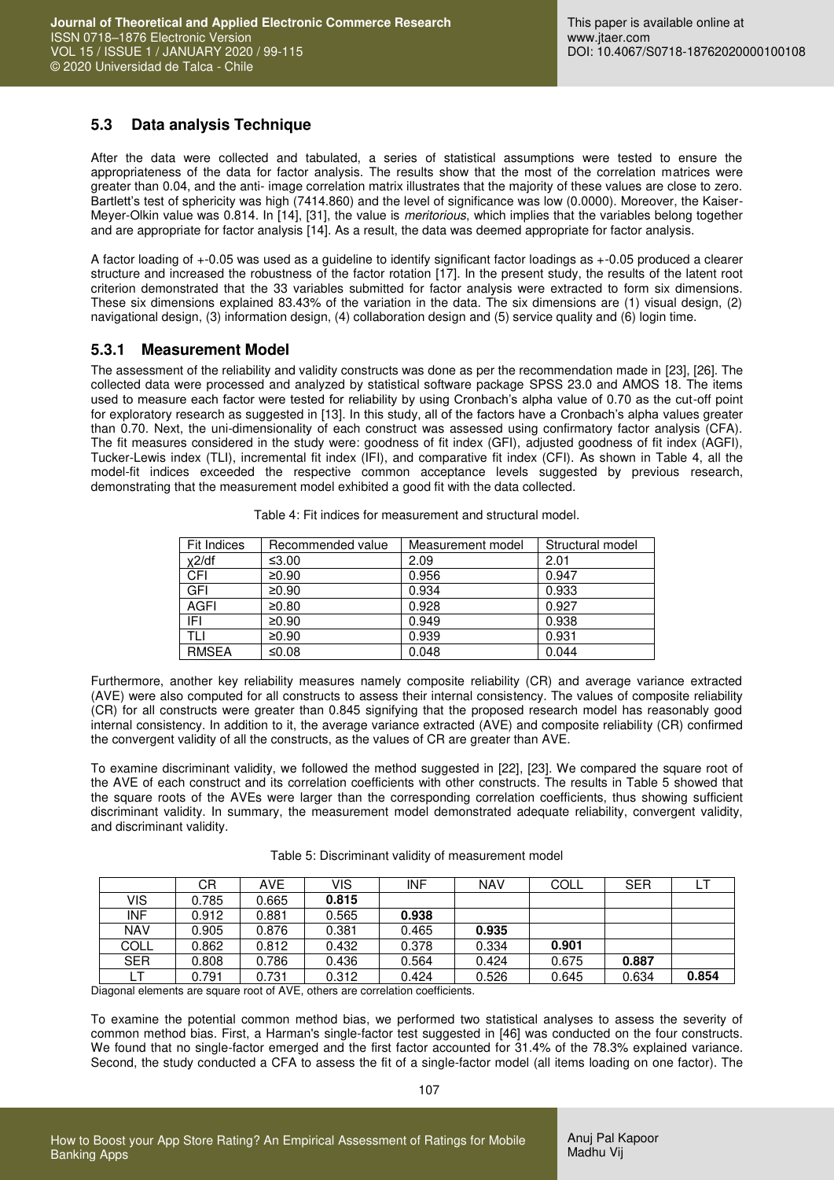### **5.3 Data analysis Technique**

After the data were collected and tabulated, a series of statistical assumptions were tested to ensure the appropriateness of the data for factor analysis. The results show that the most of the correlation matrices were greater than 0.04, and the anti- image correlation matrix illustrates that the majority of these values are close to zero. Bartlett's test of sphericity was high (7414.860) and the level of significance was low (0.0000). Moreover, the Kaiser-Meyer-Olkin value was 0.814. In [14], [31], the value is *meritorious*, which implies that the variables belong together and are appropriate for factor analysis [14]. As a result, the data was deemed appropriate for factor analysis.

A factor loading of +-0.05 was used as a guideline to identify significant factor loadings as +-0.05 produced a clearer structure and increased the robustness of the factor rotation [17]. In the present study, the results of the latent root criterion demonstrated that the 33 variables submitted for factor analysis were extracted to form six dimensions. These six dimensions explained 83.43% of the variation in the data. The six dimensions are (1) visual design, (2) navigational design, (3) information design, (4) collaboration design and (5) service quality and (6) login time.

### **5.3.1 Measurement Model**

The assessment of the reliability and validity constructs was done as per the recommendation made in [23], [26]. The collected data were processed and analyzed by statistical software package SPSS 23.0 and AMOS 18. The items used to measure each factor were tested for reliability by using Cronbach's alpha value of 0.70 as the cut-off point for exploratory research as suggested in [13]. In this study, all of the factors have a Cronbach's alpha values greater than 0.70. Next, the uni-dimensionality of each construct was assessed using confirmatory factor analysis (CFA). The fit measures considered in the study were: goodness of fit index (GFI), adjusted goodness of fit index (AGFI), Tucker-Lewis index (TLI), incremental fit index (IFI), and comparative fit index (CFI). As shown in Table 4, all the model-fit indices exceeded the respective common acceptance levels suggested by previous research, demonstrating that the measurement model exhibited a good fit with the data collected.

| Fit Indices  | Recommended value | Measurement model | Structural model |
|--------------|-------------------|-------------------|------------------|
| $x^2$ /df    | ≤ $3.00$          | 2.09              | 2.01             |
| CFI          | ≥0.90             | 0.956             | 0.947            |
| GFI          | ≥0.90             | 0.934             | 0.933            |
| <b>AGFI</b>  | ≥0.80             | 0.928             | 0.927            |
| IFI          | ≥0.90             | 0.949             | 0.938            |
| TH           | ≥0.90             | 0.939             | 0.931            |
| <b>RMSEA</b> | ≤0.08             | 0.048             | 0.044            |

Table 4: Fit indices for measurement and structural model.

Furthermore, another key reliability measures namely composite reliability (CR) and average variance extracted (AVE) were also computed for all constructs to assess their internal consistency. The values of composite reliability (CR) for all constructs were greater than 0.845 signifying that the proposed research model has reasonably good internal consistency. In addition to it, the average variance extracted (AVE) and composite reliability (CR) confirmed the convergent validity of all the constructs, as the values of CR are greater than AVE.

To examine discriminant validity, we followed the method suggested in [22], [23]. We compared the square root of the AVE of each construct and its correlation coefficients with other constructs. The results in Table 5 showed that the square roots of the AVEs were larger than the corresponding correlation coefficients, thus showing sufficient discriminant validity. In summary, the measurement model demonstrated adequate reliability, convergent validity, and discriminant validity.

|             | CR    | <b>AVE</b> | VIS   | <b>INF</b> | NAV   | COLL  | <b>SER</b> | ЫI    |
|-------------|-------|------------|-------|------------|-------|-------|------------|-------|
| VIS         | 0.785 | 0.665      | 0.815 |            |       |       |            |       |
| <b>INF</b>  | 0.912 | 0.881      | 0.565 | 0.938      |       |       |            |       |
| <b>NAV</b>  | 0.905 | 0.876      | 0.381 | 0.465      | 0.935 |       |            |       |
| <b>COLL</b> | 0.862 | 0.812      | 0.432 | 0.378      | 0.334 | 0.901 |            |       |
| <b>SER</b>  | 0.808 | 0.786      | 0.436 | 0.564      | 0.424 | 0.675 | 0.887      |       |
|             | 0.791 | 0.731      | 0.312 | 0.424      | 0.526 | 0.645 | 0.634      | 0.854 |

Diagonal elements are square root of AVE, others are correlation coefficients.

To examine the potential common method bias, we performed two statistical analyses to assess the severity of common method bias. First, a Harman's single-factor test suggested in [46] was conducted on the four constructs. We found that no single-factor emerged and the first factor accounted for 31.4% of the 78.3% explained variance. Second, the study conducted a CFA to assess the fit of a single-factor model (all items loading on one factor). The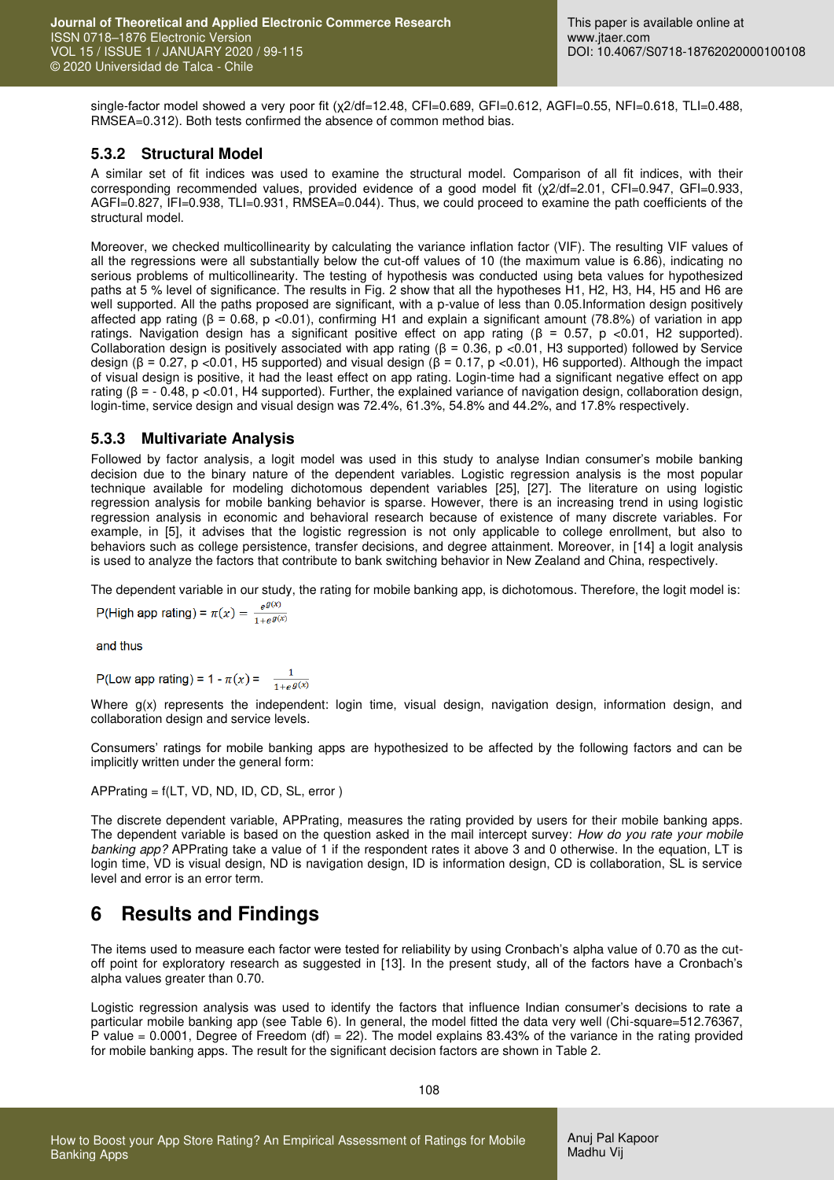single-factor model showed a very poor fit (x2/df=12.48, CFI=0.689, GFI=0.612, AGFI=0.55, NFI=0.618, TLI=0.488, RMSEA=0.312). Both tests confirmed the absence of common method bias.

### **5.3.2 Structural Model**

A similar set of fit indices was used to examine the structural model. Comparison of all fit indices, with their corresponding recommended values, provided evidence of a good model fit (χ2/df=2.01, CFI=0.947, GFI=0.933, AGFI=0.827, IFI=0.938, TLI=0.931, RMSEA=0.044). Thus, we could proceed to examine the path coefficients of the structural model.

Moreover, we checked multicollinearity by calculating the variance inflation factor (VIF). The resulting VIF values of all the regressions were all substantially below the cut-off values of 10 (the maximum value is 6.86), indicating no serious problems of multicollinearity. The testing of hypothesis was conducted using beta values for hypothesized paths at 5 % level of significance. The results in Fig. 2 show that all the hypotheses H1, H2, H3, H4, H5 and H6 are well supported. All the paths proposed are significant, with a p-value of less than 0.05.Information design positively affected app rating (β = 0.68, p <0.01), confirming H1 and explain a significant amount (78.8%) of variation in app ratings. Navigation design has a significant positive effect on app rating (β = 0.57, p <0.01, H2 supported). Collaboration design is positively associated with app rating (β = 0.36, p <0.01, H3 supported) followed by Service design (β = 0.27, p < 0.01, H5 supported) and visual design (β = 0.17, p < 0.01), H6 supported). Although the impact of visual design is positive, it had the least effect on app rating. Login-time had a significant negative effect on app rating ( $β = -0.48$ ,  $p < 0.01$ , H4 supported). Further, the explained variance of navigation design, collaboration design, login-time, service design and visual design was 72.4%, 61.3%, 54.8% and 44.2%, and 17.8% respectively.

### **5.3.3 Multivariate Analysis**

Followed by factor analysis, a logit model was used in this study to analyse Indian consumer's mobile banking decision due to the binary nature of the dependent variables. Logistic regression analysis is the most popular technique available for modeling dichotomous dependent variables [25], [27]. The literature on using logistic regression analysis for mobile banking behavior is sparse. However, there is an increasing trend in using logistic regression analysis in economic and behavioral research because of existence of many discrete variables. For example, in [5], it advises that the logistic regression is not only applicable to college enrollment, but also to behaviors such as college persistence, transfer decisions, and degree attainment. Moreover, in [14] a logit analysis is used to analyze the factors that contribute to bank switching behavior in New Zealand and China, respectively.

The dependent variable in our study, the rating for mobile banking app, is dichotomous. Therefore, the logit model is:

P(High app rating) =  $\pi(x) = \frac{e^{g(x)}}{1 + e^{g(x)}}$ 

and thus

P(Low app rating) = 1 -  $\pi(x) = \frac{1}{1 + e^{g(x)}}$ 

Where  $g(x)$  represents the independent: login time, visual design, navigation design, information design, and collaboration design and service levels.

Consumers' ratings for mobile banking apps are hypothesized to be affected by the following factors and can be implicitly written under the general form:

APPrating = f(LT, VD, ND, ID, CD, SL, error )

The discrete dependent variable, APPrating, measures the rating provided by users for their mobile banking apps. The dependent variable is based on the question asked in the mail intercept survey: *How do you rate your mobile banking app?* APPrating take a value of 1 if the respondent rates it above 3 and 0 otherwise. In the equation, LT is login time, VD is visual design, ND is navigation design, ID is information design, CD is collaboration, SL is service level and error is an error term.

# **6 Results and Findings**

The items used to measure each factor were tested for reliability by using Cronbach's alpha value of 0.70 as the cutoff point for exploratory research as suggested in [13]. In the present study, all of the factors have a Cronbach's alpha values greater than 0.70.

Logistic regression analysis was used to identify the factors that influence Indian consumer's decisions to rate a particular mobile banking app (see Table 6). In general, the model fitted the data very well (Chi-square=512.76367, P value = 0.0001, Degree of Freedom (df) = 22). The model explains 83.43% of the variance in the rating provided for mobile banking apps. The result for the significant decision factors are shown in Table 2.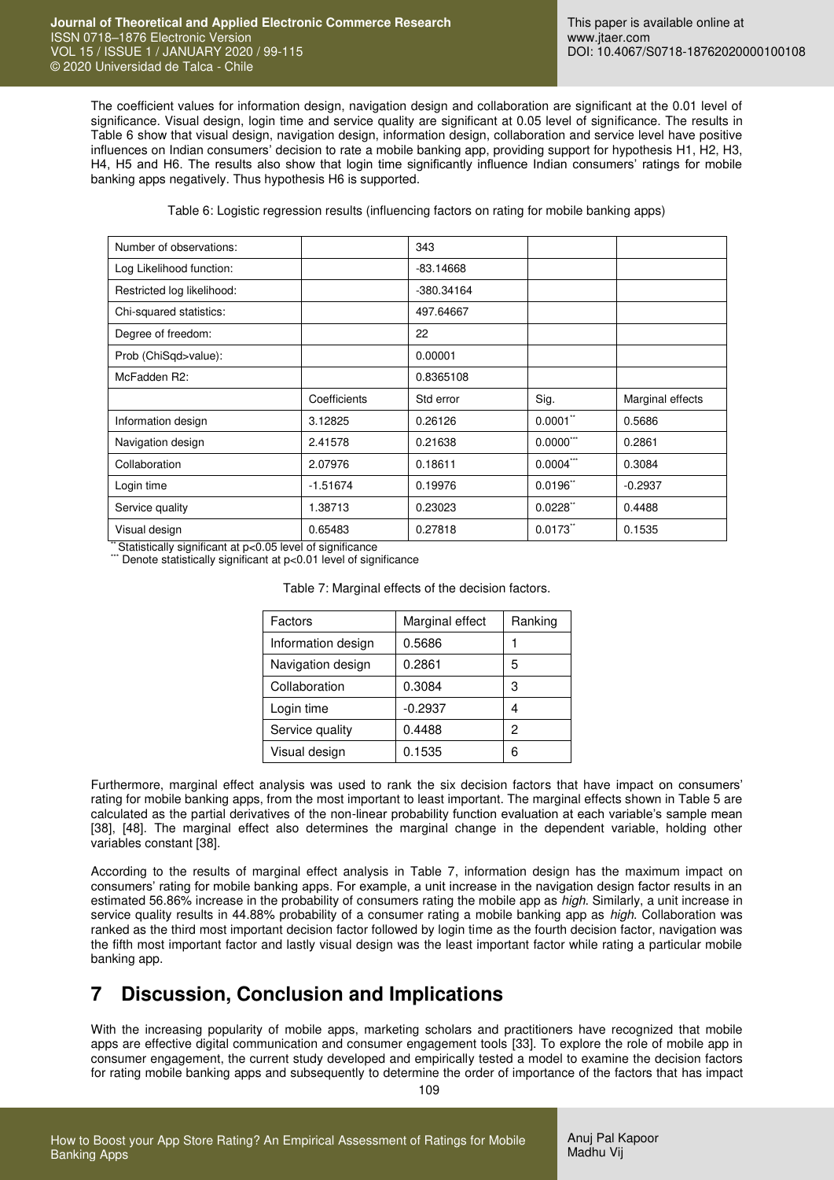The coefficient values for information design, navigation design and collaboration are significant at the 0.01 level of significance. Visual design, login time and service quality are significant at 0.05 level of significance. The results in Table 6 show that visual design, navigation design, information design, collaboration and service level have positive influences on Indian consumers' decision to rate a mobile banking app, providing support for hypothesis H1, H2, H3, H4, H5 and H6. The results also show that login time significantly influence Indian consumers' ratings for mobile banking apps negatively. Thus hypothesis H6 is supported.

Table 6: Logistic regression results (influencing factors on rating for mobile banking apps)

| Number of observations:    |              | 343         |                        |                  |
|----------------------------|--------------|-------------|------------------------|------------------|
| Log Likelihood function:   |              | $-83.14668$ |                        |                  |
| Restricted log likelihood: |              | -380.34164  |                        |                  |
| Chi-squared statistics:    |              | 497.64667   |                        |                  |
| Degree of freedom:         |              | 22          |                        |                  |
| Prob (ChiSqd>value):       |              | 0.00001     |                        |                  |
| McFadden R2:               |              | 0.8365108   |                        |                  |
|                            |              |             |                        |                  |
|                            | Coefficients | Std error   | Sig.                   | Marginal effects |
| Information design         | 3.12825      | 0.26126     | $0.0001$ "             | 0.5686           |
| Navigation design          | 2.41578      | 0.21638     | $0.0000$ ***           | 0.2861           |
| Collaboration              | 2.07976      | 0.18611     | $0.0004$ ***           | 0.3084           |
| Login time                 | $-1.51674$   | 0.19976     | $0.0196$ <sup>**</sup> | $-0.2937$        |
| Service quality            | 1.38713      | 0.23023     | $0.0228$ <sup>**</sup> | 0.4488           |

\* Statistically significant at p<0.05 level of significance

 $*$  Denote statistically significant at p<0.01 level of significance

| Factors            | Marginal effect | Ranking |
|--------------------|-----------------|---------|
| Information design | 0.5686          |         |
| Navigation design  | 0.2861          | 5       |
| Collaboration      | 0.3084          | 3       |
| Login time         | $-0.2937$       | 4       |
| Service quality    | 0.4488          | 2       |
| Visual design      | 0.1535          | 6       |

Table 7: Marginal effects of the decision factors.

Furthermore, marginal effect analysis was used to rank the six decision factors that have impact on consumers' rating for mobile banking apps, from the most important to least important. The marginal effects shown in Table 5 are calculated as the partial derivatives of the non-linear probability function evaluation at each variable's sample mean [38], [48]. The marginal effect also determines the marginal change in the dependent variable, holding other variables constant [38].

According to the results of marginal effect analysis in Table 7, information design has the maximum impact on consumers' rating for mobile banking apps. For example, a unit increase in the navigation design factor results in an estimated 56.86% increase in the probability of consumers rating the mobile app as *high*. Similarly, a unit increase in service quality results in 44.88% probability of a consumer rating a mobile banking app as *high*. Collaboration was ranked as the third most important decision factor followed by login time as the fourth decision factor, navigation was the fifth most important factor and lastly visual design was the least important factor while rating a particular mobile banking app.

# **7 Discussion, Conclusion and Implications**

With the increasing popularity of mobile apps, marketing scholars and practitioners have recognized that mobile apps are effective digital communication and consumer engagement tools [33]. To explore the role of mobile app in consumer engagement, the current study developed and empirically tested a model to examine the decision factors for rating mobile banking apps and subsequently to determine the order of importance of the factors that has impact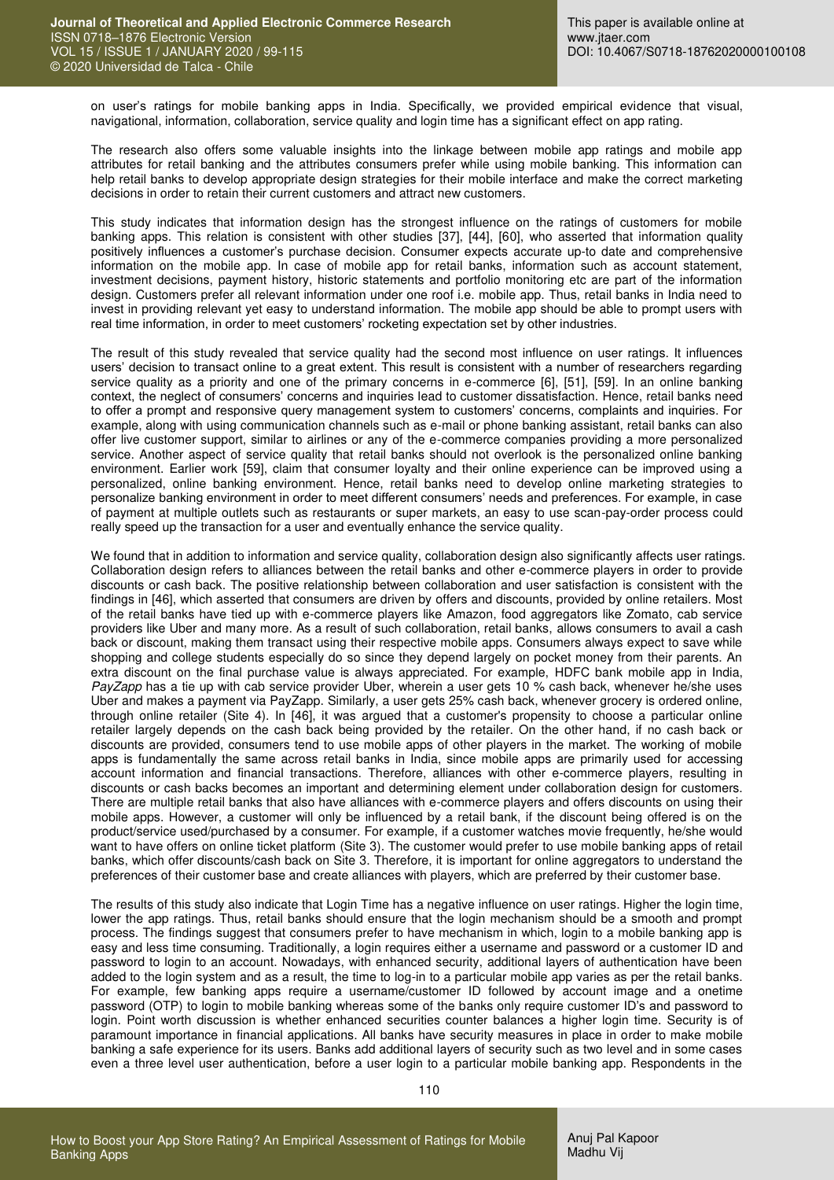on user's ratings for mobile banking apps in India. Specifically, we provided empirical evidence that visual, navigational, information, collaboration, service quality and login time has a significant effect on app rating.

The research also offers some valuable insights into the linkage between mobile app ratings and mobile app attributes for retail banking and the attributes consumers prefer while using mobile banking. This information can help retail banks to develop appropriate design strategies for their mobile interface and make the correct marketing decisions in order to retain their current customers and attract new customers.

This study indicates that information design has the strongest influence on the ratings of customers for mobile banking apps. This relation is consistent with other studies [37], [44], [60], who asserted that information quality positively influences a customer's purchase decision. Consumer expects accurate up-to date and comprehensive information on the mobile app. In case of mobile app for retail banks, information such as account statement, investment decisions, payment history, historic statements and portfolio monitoring etc are part of the information design. Customers prefer all relevant information under one roof i.e. mobile app. Thus, retail banks in India need to invest in providing relevant yet easy to understand information. The mobile app should be able to prompt users with real time information, in order to meet customers' rocketing expectation set by other industries.

The result of this study revealed that service quality had the second most influence on user ratings. It influences users' decision to transact online to a great extent. This result is consistent with a number of researchers regarding service quality as a priority and one of the primary concerns in e-commerce [6], [51], [59]. In an online banking context, the neglect of consumers' concerns and inquiries lead to customer dissatisfaction. Hence, retail banks need to offer a prompt and responsive query management system to customers' concerns, complaints and inquiries. For example, along with using communication channels such as e-mail or phone banking assistant, retail banks can also offer live customer support, similar to airlines or any of the e-commerce companies providing a more personalized service. Another aspect of service quality that retail banks should not overlook is the personalized online banking environment. Earlier work [59], claim that consumer loyalty and their online experience can be improved using a personalized, online banking environment. Hence, retail banks need to develop online marketing strategies to personalize banking environment in order to meet different consumers' needs and preferences. For example, in case of payment at multiple outlets such as restaurants or super markets, an easy to use scan-pay-order process could really speed up the transaction for a user and eventually enhance the service quality.

We found that in addition to information and service quality, collaboration design also significantly affects user ratings. Collaboration design refers to alliances between the retail banks and other e-commerce players in order to provide discounts or cash back. The positive relationship between collaboration and user satisfaction is consistent with the findings in [46], which asserted that consumers are driven by offers and discounts, provided by online retailers. Most of the retail banks have tied up with e-commerce players like Amazon, food aggregators like Zomato, cab service providers like Uber and many more. As a result of such collaboration, retail banks, allows consumers to avail a cash back or discount, making them transact using their respective mobile apps. Consumers always expect to save while shopping and college students especially do so since they depend largely on pocket money from their parents. An extra discount on the final purchase value is always appreciated. For example, HDFC bank mobile app in India, *PayZapp* has a tie up with cab service provider Uber, wherein a user gets 10 % cash back, whenever he/she uses Uber and makes a payment via PayZapp. Similarly, a user gets 25% cash back, whenever grocery is ordered online, through online retailer (Site 4). In [46], it was argued that a customer's propensity to choose a particular online retailer largely depends on the cash back being provided by the retailer. On the other hand, if no cash back or discounts are provided, consumers tend to use mobile apps of other players in the market. The working of mobile apps is fundamentally the same across retail banks in India, since mobile apps are primarily used for accessing account information and financial transactions. Therefore, alliances with other e-commerce players, resulting in discounts or cash backs becomes an important and determining element under collaboration design for customers. There are multiple retail banks that also have alliances with e-commerce players and offers discounts on using their mobile apps. However, a customer will only be influenced by a retail bank, if the discount being offered is on the product/service used/purchased by a consumer. For example, if a customer watches movie frequently, he/she would want to have offers on online ticket platform (Site 3). The customer would prefer to use mobile banking apps of retail banks, which offer discounts/cash back on Site 3. Therefore, it is important for online aggregators to understand the preferences of their customer base and create alliances with players, which are preferred by their customer base.

The results of this study also indicate that Login Time has a negative influence on user ratings. Higher the login time, lower the app ratings. Thus, retail banks should ensure that the login mechanism should be a smooth and prompt process. The findings suggest that consumers prefer to have mechanism in which, login to a mobile banking app is easy and less time consuming. Traditionally, a login requires either a username and password or a customer ID and password to login to an account. Nowadays, with enhanced security, additional layers of authentication have been added to the login system and as a result, the time to log-in to a particular mobile app varies as per the retail banks. For example, few banking apps require a username/customer ID followed by account image and a onetime password (OTP) to login to mobile banking whereas some of the banks only require customer ID's and password to login. Point worth discussion is whether enhanced securities counter balances a higher login time. Security is of paramount importance in financial applications. All banks have security measures in place in order to make mobile banking a safe experience for its users. Banks add additional layers of security such as two level and in some cases even a three level user authentication, before a user login to a particular mobile banking app. Respondents in the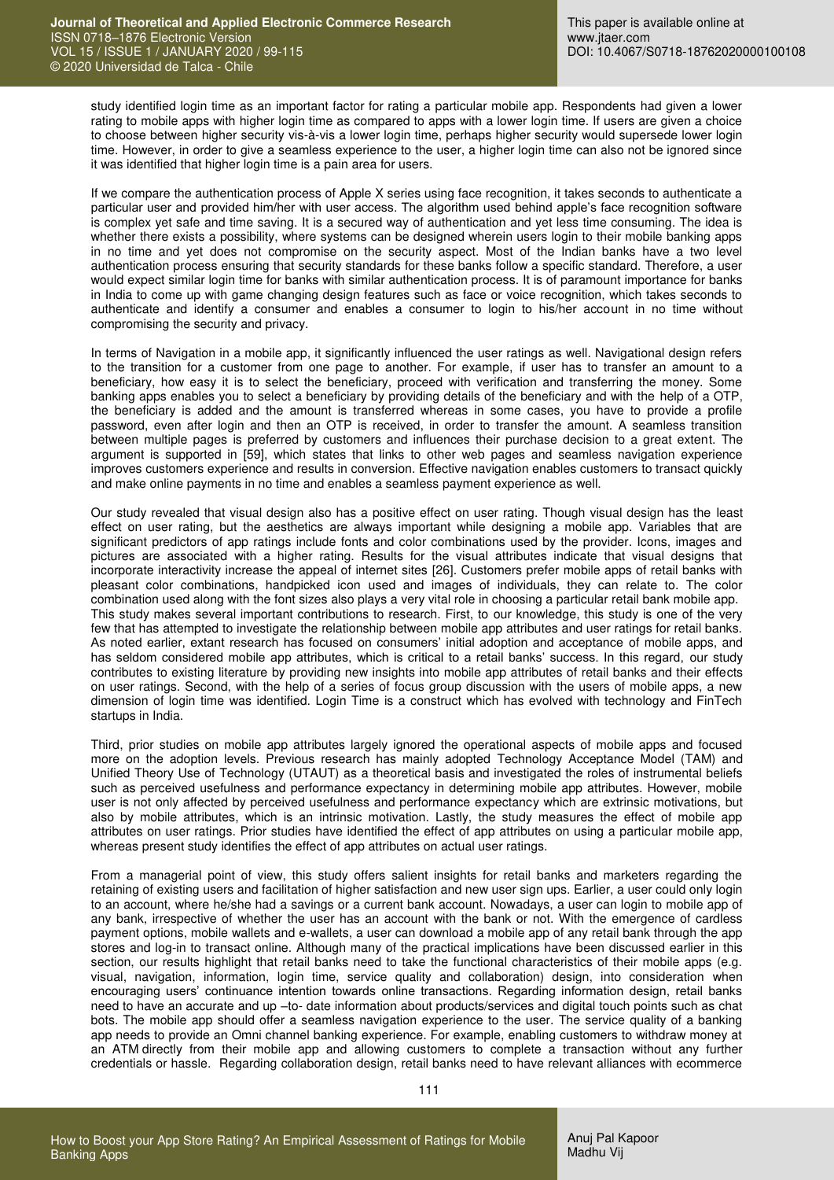study identified login time as an important factor for rating a particular mobile app. Respondents had given a lower rating to mobile apps with higher login time as compared to apps with a lower login time. If users are given a choice to choose between higher security vis-à-vis a lower login time, perhaps higher security would supersede lower login time. However, in order to give a seamless experience to the user, a higher login time can also not be ignored since it was identified that higher login time is a pain area for users.

If we compare the authentication process of Apple X series using face recognition, it takes seconds to authenticate a particular user and provided him/her with user access. The algorithm used behind apple's face recognition software is complex yet safe and time saving. It is a secured way of authentication and yet less time consuming. The idea is whether there exists a possibility, where systems can be designed wherein users login to their mobile banking apps in no time and yet does not compromise on the security aspect. Most of the Indian banks have a two level authentication process ensuring that security standards for these banks follow a specific standard. Therefore, a user would expect similar login time for banks with similar authentication process. It is of paramount importance for banks in India to come up with game changing design features such as face or voice recognition, which takes seconds to authenticate and identify a consumer and enables a consumer to login to his/her account in no time without compromising the security and privacy.

In terms of Navigation in a mobile app, it significantly influenced the user ratings as well. Navigational design refers to the transition for a customer from one page to another. For example, if user has to transfer an amount to a beneficiary, how easy it is to select the beneficiary, proceed with verification and transferring the money. Some banking apps enables you to select a beneficiary by providing details of the beneficiary and with the help of a OTP, the beneficiary is added and the amount is transferred whereas in some cases, you have to provide a profile password, even after login and then an OTP is received, in order to transfer the amount. A seamless transition between multiple pages is preferred by customers and influences their purchase decision to a great extent. The argument is supported in [59], which states that links to other web pages and seamless navigation experience improves customers experience and results in conversion. Effective navigation enables customers to transact quickly and make online payments in no time and enables a seamless payment experience as well.

Our study revealed that visual design also has a positive effect on user rating. Though visual design has the least effect on user rating, but the aesthetics are always important while designing a mobile app. Variables that are significant predictors of app ratings include fonts and color combinations used by the provider. Icons, images and pictures are associated with a higher rating. Results for the visual attributes indicate that visual designs that incorporate interactivity increase the appeal of internet sites [26]. Customers prefer mobile apps of retail banks with pleasant color combinations, handpicked icon used and images of individuals, they can relate to. The color combination used along with the font sizes also plays a very vital role in choosing a particular retail bank mobile app. This study makes several important contributions to research. First, to our knowledge, this study is one of the very few that has attempted to investigate the relationship between mobile app attributes and user ratings for retail banks. As noted earlier, extant research has focused on consumers' initial adoption and acceptance of mobile apps, and has seldom considered mobile app attributes, which is critical to a retail banks' success. In this regard, our study contributes to existing literature by providing new insights into mobile app attributes of retail banks and their effects on user ratings. Second, with the help of a series of focus group discussion with the users of mobile apps, a new dimension of login time was identified. Login Time is a construct which has evolved with technology and FinTech startups in India.

Third, prior studies on mobile app attributes largely ignored the operational aspects of mobile apps and focused more on the adoption levels. Previous research has mainly adopted Technology Acceptance Model (TAM) and Unified Theory Use of Technology (UTAUT) as a theoretical basis and investigated the roles of instrumental beliefs such as perceived usefulness and performance expectancy in determining mobile app attributes. However, mobile user is not only affected by perceived usefulness and performance expectancy which are extrinsic motivations, but also by mobile attributes, which is an intrinsic motivation. Lastly, the study measures the effect of mobile app attributes on user ratings. Prior studies have identified the effect of app attributes on using a particular mobile app, whereas present study identifies the effect of app attributes on actual user ratings.

From a managerial point of view, this study offers salient insights for retail banks and marketers regarding the retaining of existing users and facilitation of higher satisfaction and new user sign ups. Earlier, a user could only login to an account, where he/she had a savings or a current bank account. Nowadays, a user can login to mobile app of any bank, irrespective of whether the user has an account with the bank or not. With the emergence of cardless payment options, mobile wallets and e-wallets, a user can download a mobile app of any retail bank through the app stores and log-in to transact online. Although many of the practical implications have been discussed earlier in this section, our results highlight that retail banks need to take the functional characteristics of their mobile apps (e.g. visual, navigation, information, login time, service quality and collaboration) design, into consideration when encouraging users' continuance intention towards online transactions. Regarding information design, retail banks need to have an accurate and up –to- date information about products/services and digital touch points such as chat bots. The mobile app should offer a seamless navigation experience to the user. The service quality of a banking app needs to provide an Omni channel banking experience. For example, enabling customers to withdraw money at an ATM directly from their mobile app and allowing customers to complete a transaction without any further credentials or hassle. Regarding collaboration design, retail banks need to have relevant alliances with ecommerce

111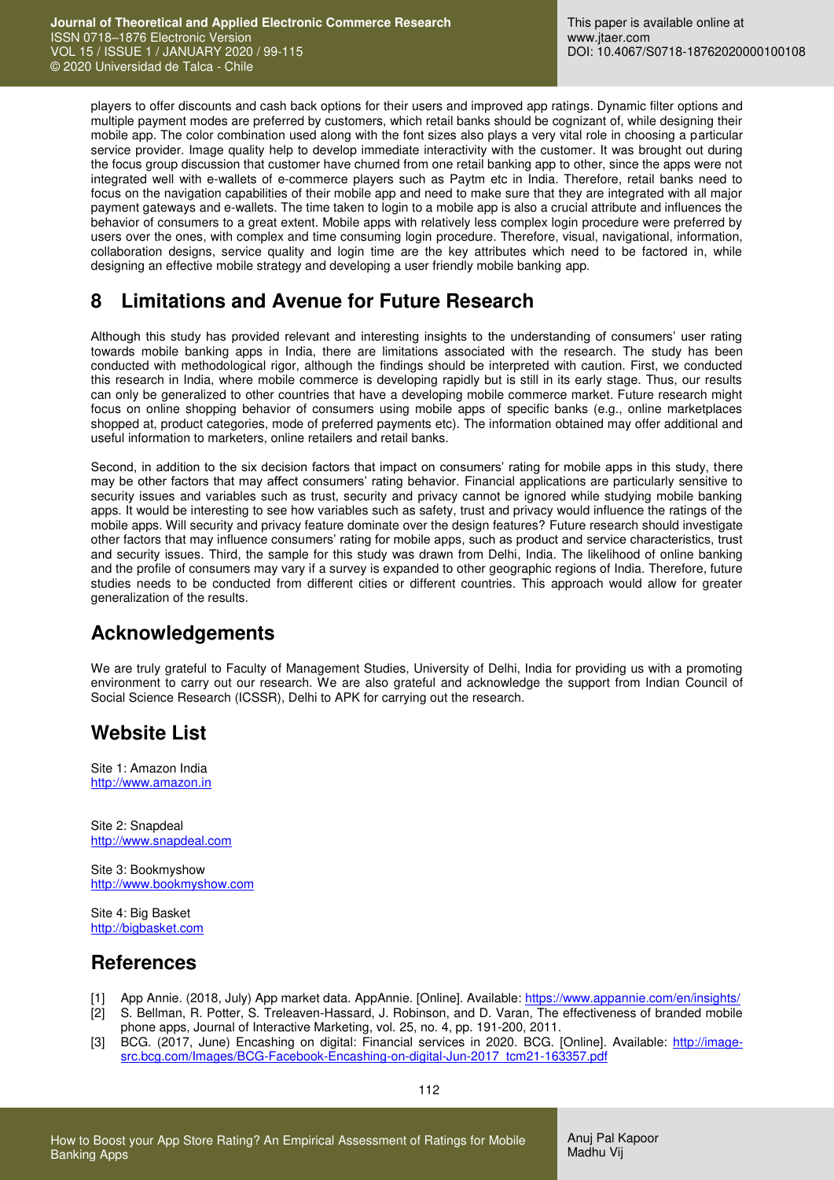players to offer discounts and cash back options for their users and improved app ratings. Dynamic filter options and multiple payment modes are preferred by customers, which retail banks should be cognizant of, while designing their mobile app. The color combination used along with the font sizes also plays a very vital role in choosing a particular service provider. Image quality help to develop immediate interactivity with the customer. It was brought out during the focus group discussion that customer have churned from one retail banking app to other, since the apps were not integrated well with e-wallets of e-commerce players such as Paytm etc in India. Therefore, retail banks need to focus on the navigation capabilities of their mobile app and need to make sure that they are integrated with all major payment gateways and e-wallets. The time taken to login to a mobile app is also a crucial attribute and influences the behavior of consumers to a great extent. Mobile apps with relatively less complex login procedure were preferred by users over the ones, with complex and time consuming login procedure. Therefore, visual, navigational, information, collaboration designs, service quality and login time are the key attributes which need to be factored in, while designing an effective mobile strategy and developing a user friendly mobile banking app.

## **8 Limitations and Avenue for Future Research**

Although this study has provided relevant and interesting insights to the understanding of consumers' user rating towards mobile banking apps in India, there are limitations associated with the research. The study has been conducted with methodological rigor, although the findings should be interpreted with caution. First, we conducted this research in India, where mobile commerce is developing rapidly but is still in its early stage. Thus, our results can only be generalized to other countries that have a developing mobile commerce market. Future research might focus on online shopping behavior of consumers using mobile apps of specific banks (e.g., online marketplaces shopped at, product categories, mode of preferred payments etc). The information obtained may offer additional and useful information to marketers, online retailers and retail banks.

Second, in addition to the six decision factors that impact on consumers' rating for mobile apps in this study, there may be other factors that may affect consumers' rating behavior. Financial applications are particularly sensitive to security issues and variables such as trust, security and privacy cannot be ignored while studying mobile banking apps. It would be interesting to see how variables such as safety, trust and privacy would influence the ratings of the mobile apps. Will security and privacy feature dominate over the design features? Future research should investigate other factors that may influence consumers' rating for mobile apps, such as product and service characteristics, trust and security issues. Third, the sample for this study was drawn from Delhi, India. The likelihood of online banking and the profile of consumers may vary if a survey is expanded to other geographic regions of India. Therefore, future studies needs to be conducted from different cities or different countries. This approach would allow for greater generalization of the results.

# **Acknowledgements**

We are truly grateful to Faculty of Management Studies, University of Delhi, India for providing us with a promoting environment to carry out our research. We are also grateful and acknowledge the support from Indian Council of Social Science Research (ICSSR), Delhi to APK for carrying out the research.

# **Website List**

Site 1: Amazon India [http://www.amazon.in](http://www.amazon.in/)

Site 2: Snapdeal [http://www.snapdeal.com](http://www.snapdeal.com/)

Site 3: Bookmyshow [http://www.bookmyshow.com](http://www.bookmyshow.com/)

Site 4: Big Basket [http://bigbasket.com](http://bigbasket.com/)

# **References**

- [1] App Annie. (2018, July) App market data. AppAnnie. [Online]. Available: https://www.appannie.com/en/insights/<br>[2] S. Bellman, R. Potter, S. Treleaven-Hassard, J. Robinson, and D. Varan, The effectiveness of branded mob [2] S. Bellman, R. Potter, S. Treleaven-Hassard, J. Robinson, and D. Varan, The effectiveness of branded mobile
- phone apps, Journal of Interactive Marketing, vol. 25, no. 4, pp. 191-200, 2011.
- [3] BCG. (2017, June) Encashing on digital: Financial services in 2020. BCG. [Online]. Available: [http://image](http://image-src.bcg.com/Images/BCG-Facebook-Encashing-on-digital-Jun-2017_tcm21-163357.pdf)[src.bcg.com/Images/BCG-Facebook-Encashing-on-digital-Jun-2017\\_tcm21-163357.pdf](http://image-src.bcg.com/Images/BCG-Facebook-Encashing-on-digital-Jun-2017_tcm21-163357.pdf)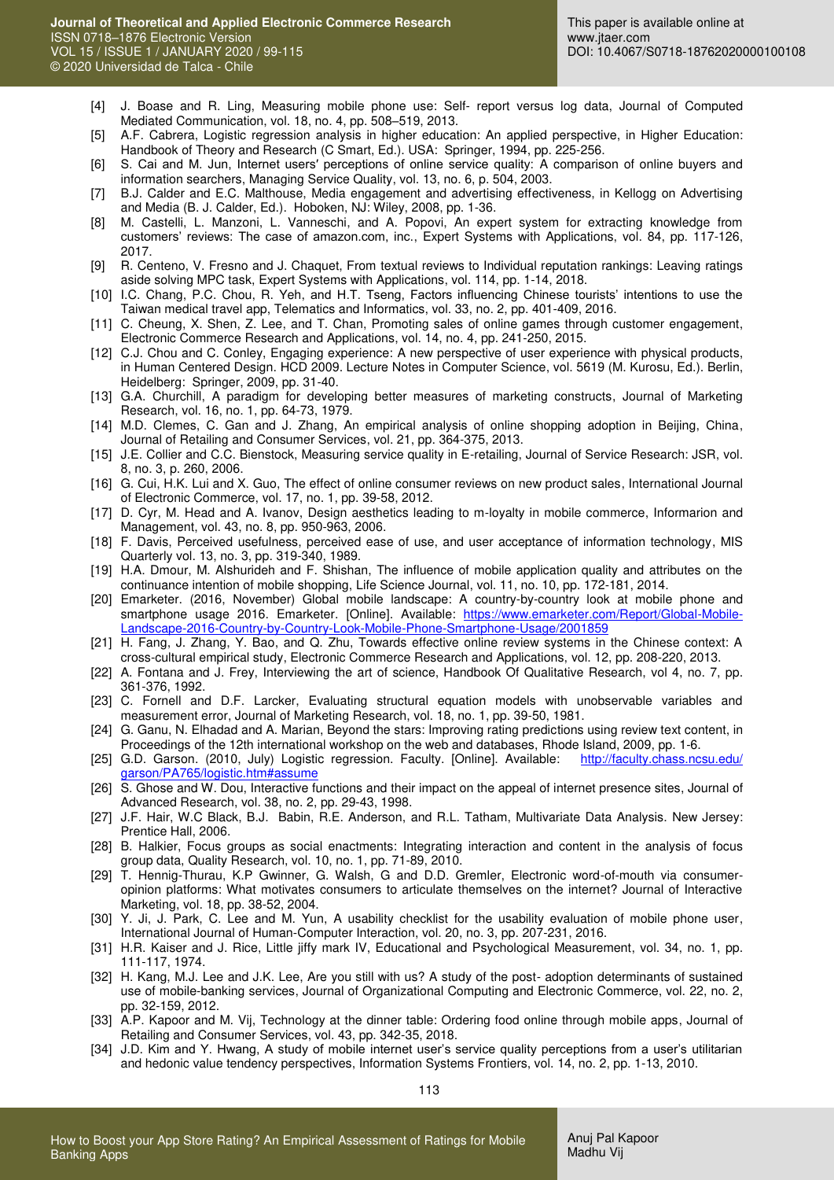- [4] J. Boase and R. Ling, Measuring mobile phone use: Self- report versus log data, Journal of Computed Mediated Communication, vol. 18, no. 4, pp. 508–519, 2013.
- [5] A.F. Cabrera, Logistic regression analysis in higher education: An applied perspective, in Higher Education: Handbook of Theory and Research (C Smart, Ed.). USA: Springer, 1994, pp. 225-256.
- [6] S. Cai and M. Jun, Internet users′ perceptions of online service quality: A comparison of online buyers and information searchers, Managing Service Quality, vol. 13, no. 6, p. 504, 2003.
- [7] B.J. Calder and E.C. Malthouse, Media engagement and advertising effectiveness, in Kellogg on Advertising and Media (B. J. Calder, Ed.). Hoboken, NJ: Wiley, 2008, pp. 1-36.
- [8] M. Castelli, L. Manzoni, L. Vanneschi, and A. Popovi, An expert system for extracting knowledge from customers' reviews: The case of amazon.com, inc., Expert Systems with Applications, vol. 84, pp. 117-126, 2017.
- [9] R. Centeno, V. Fresno and J. Chaquet, From textual reviews to Individual reputation rankings: Leaving ratings aside solving MPC task, Expert Systems with Applications, vol. 114, pp. 1-14, 2018.
- [10] I.C. Chang, P.C. Chou, R. Yeh, and H.T. Tseng, Factors influencing Chinese tourists' intentions to use the Taiwan medical travel app, Telematics and Informatics, vol. 33, no. 2, pp. 401-409, 2016.
- [11] C. Cheung, X. Shen, Z. Lee, and T. Chan, Promoting sales of online games through customer engagement, Electronic Commerce Research and Applications, vol. 14, no. 4, pp. 241-250, 2015.
- [12] C.J. Chou and C. Conley, Engaging experience: A new perspective of user experience with physical products, in Human Centered Design. HCD 2009. Lecture Notes in Computer Science, vol. 5619 (M. Kurosu, Ed.). Berlin, Heidelberg: Springer, 2009, pp. 31-40.
- [13] G.A. Churchill, A paradigm for developing better measures of marketing constructs, Journal of Marketing Research, vol. 16, no. 1, pp. 64-73, 1979.
- [14] M.D. Clemes, C. Gan and J. Zhang, An empirical analysis of online shopping adoption in Beijing, China, Journal of Retailing and Consumer Services, vol. 21, pp. 364-375, 2013.
- [15] J.E. Collier and C.C. Bienstock, Measuring service quality in E-retailing, Journal of Service Research: JSR, vol. 8, no. 3, p. 260, 2006.
- [16] G. Cui, H.K. Lui and X. Guo, The effect of online consumer reviews on new product sales, International Journal of Electronic Commerce, vol. 17, no. 1, pp. 39-58, 2012.
- [17] D. Cyr, M. Head and A. Ivanov, Design aesthetics leading to m-loyalty in mobile commerce, Informarion and Management, vol. 43, no. 8, pp. 950-963, 2006.
- [18] F. Davis, Perceived usefulness, perceived ease of use, and user acceptance of information technology, MIS Quarterly vol. 13, no. 3, pp. 319-340, 1989.
- <span id="page-14-0"></span>[19] H.A. Dmour, M. Alshurideh and F. Shishan, The influence of mobile application quality and attributes on the continuance intention of mobile shopping, Life Science Journal, vol. 11, no. 10, pp. 172-181, 2014.
- [20] Emarketer. (2016, November) Global mobile landscape: A country-by-country look at mobile phone and smartphone usage 2016. Emarketer. [Online]. Available: [https://www.emarketer.com/Report/Global-Mobile-](https://www.emarketer.com/Report/Global-Mobile-Landscape-2016-Country-by-Country-Look-Mobile-Phone-Smartphone-Usage/2001859)[Landscape-2016-Country-by-Country-Look-Mobile-Phone-Smartphone-Usage/2001859](https://www.emarketer.com/Report/Global-Mobile-Landscape-2016-Country-by-Country-Look-Mobile-Phone-Smartphone-Usage/2001859)
- [21] H. Fang, J. Zhang, Y. Bao, and Q. Zhu, Towards effective online review systems in the Chinese context: A cross-cultural empirical study, Electronic Commerce Research and Applications, vol. 12, pp. 208-220, 2013.
- [22] A. Fontana and J. Frey, Interviewing the art of science, Handbook Of Qualitative Research, vol 4, no. 7, pp. 361-376, 1992.
- [23] C. Fornell and D.F. Larcker, Evaluating structural equation models with unobservable variables and measurement error, Journal of Marketing Research, vol. 18, no. 1, pp. 39-50, 1981.
- [24] G. Ganu, N. Elhadad and A. Marian, Beyond the stars: Improving rating predictions using review text content, in Proceedings of the 12th international workshop on the web and databases, Rhode Island, 2009, pp. 1-6.
- [25] G.D. Garson. (2010, July) Logistic regression. Faculty. [Online]. Available: http://faculty.chass.ncsu.edu/ [garson/PA765/logistic.htm#assume](http://faculty.chass.ncsu.edu/%20garson/PA765/logistic.htm#assume)
- [26] S. Ghose and W. Dou, Interactive functions and their impact on the appeal of internet presence sites, Journal of Advanced Research, vol. 38, no. 2, pp. 29-43, 1998.
- [27] J.F. Hair, W.C Black, B.J. Babin, R.E. Anderson, and R.L. Tatham, Multivariate Data Analysis. New Jersey: Prentice Hall, 2006.
- [28] B. Halkier, Focus groups as social enactments: Integrating interaction and content in the analysis of focus group data, Quality Research, vol. 10, no. 1, pp. 71-89, 2010.
- [29] T. Hennig-Thurau, K.P Gwinner, G. Walsh, G and D.D. Gremler, Electronic word-of-mouth via consumeropinion platforms: What motivates consumers to articulate themselves on the internet? Journal of Interactive Marketing, vol. 18, pp. 38-52, 2004.
- [30] Y. Ji, J. Park, C. Lee and M. Yun, A usability checklist for the usability evaluation of mobile phone user, International Journal of Human-Computer Interaction, vol. 20, no. 3, pp. 207-231, 2016.
- [31] H.R. Kaiser and J. Rice, Little jiffy mark IV, Educational and Psychological Measurement, vol. 34, no. 1, pp. 111-117, 1974.
- [32] H. Kang, M.J. Lee and J.K. Lee, Are you still with us? A study of the post- adoption determinants of sustained use of mobile-banking services, Journal of Organizational Computing and Electronic Commerce, vol. 22, no. 2, pp. 32-159, 2012.
- [33] A.P. Kapoor and M. Vij, Technology at the dinner table: Ordering food online through mobile apps, Journal of Retailing and Consumer Services, vol. 43, pp. 342-35, 2018.
- [34] J.D. Kim and Y. Hwang, A study of mobile internet user's service quality perceptions from a user's utilitarian and hedonic value tendency perspectives, Information Systems Frontiers, vol. 14, no. 2, pp. 1-13, 2010.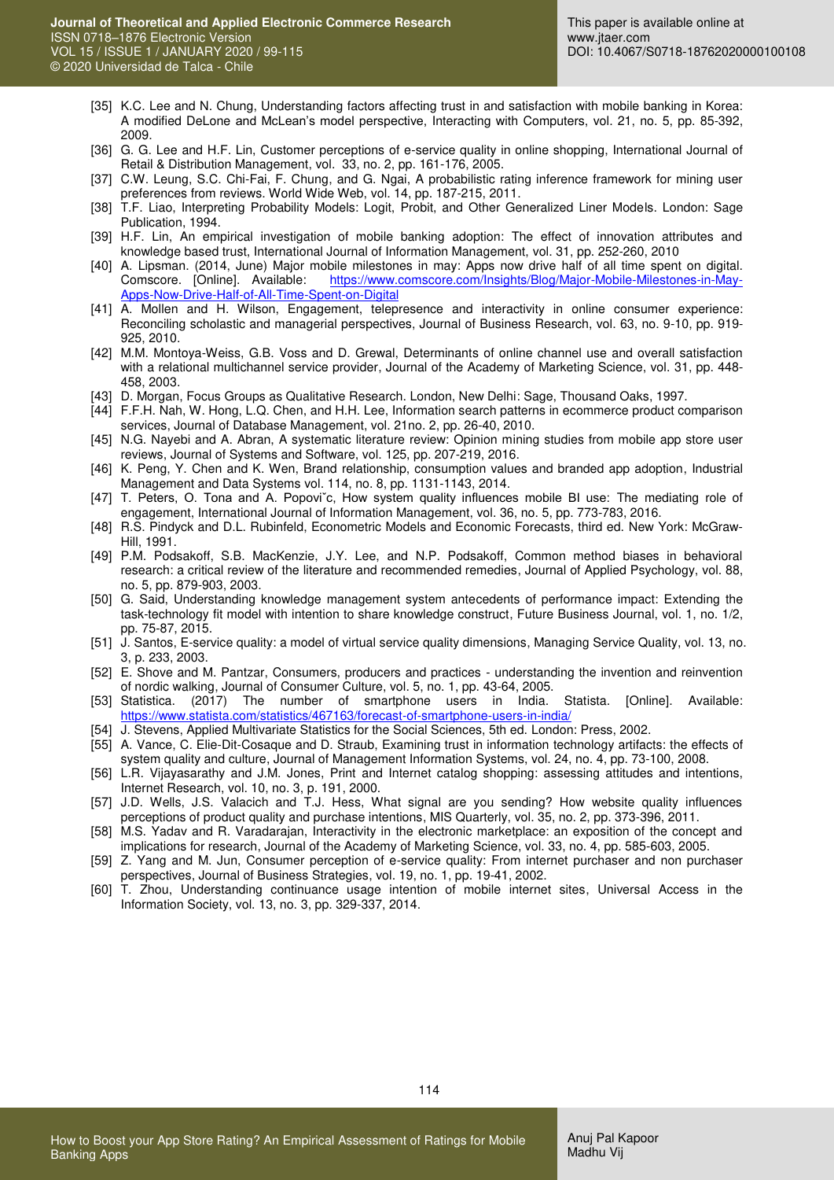- [35] K.C. Lee and N. Chung, Understanding factors affecting trust in and satisfaction with mobile banking in Korea: A modified DeLone and McLean's model perspective, Interacting with Computers, vol. 21, no. 5, pp. 85-392, 2009.
- [36] G. G. Lee and H.F. Lin, Customer perceptions of e-service quality in online shopping, International Journal of Retail & Distribution Management, vol. 33, no. 2, pp. 161-176, 2005.
- [37] C.W. Leung, S.C. Chi-Fai, F. Chung, and G. Ngai, A probabilistic rating inference framework for mining user preferences from reviews. World Wide Web, vol. 14, pp. 187-215, 2011.
- [38] T.F. Liao, Interpreting Probability Models: Logit, Probit, and Other Generalized Liner Models. London: Sage Publication, 1994.
- [39] H.F. Lin, An empirical investigation of mobile banking adoption: The effect of innovation attributes and knowledge based trust, International Journal of Information Management, vol. 31, pp. 252-260, 2010
- [40] A. Lipsman. (2014, June) Major mobile milestones in may: Apps now drive half of all time spent on digital. Comscore. [Online]. Available: [https://www.comscore.com/Insights/Blog/Major-Mobile-Milestones-in-May-](https://www.comscore.com/Insights/Blog/Major-Mobile-Milestones-in-May-Apps-Now-Drive-Half-of-All-Time-Spent-on-Digital)[Apps-Now-Drive-Half-of-All-Time-Spent-on-Digital](https://www.comscore.com/Insights/Blog/Major-Mobile-Milestones-in-May-Apps-Now-Drive-Half-of-All-Time-Spent-on-Digital)
- [41] A. Mollen and H. Wilson, Engagement, telepresence and interactivity in online consumer experience: Reconciling scholastic and managerial perspectives, Journal of Business Research, vol. 63, no. 9-10, pp. 919- 925, 2010.
- [42] M.M. Montoya-Weiss, G.B. Voss and D. Grewal, Determinants of online channel use and overall satisfaction with a relational multichannel service provider, Journal of the Academy of Marketing Science, vol. 31, pp. 448- 458, 2003.
- [43] D. Morgan, Focus Groups as Qualitative Research. London, New Delhi: Sage, Thousand Oaks, 1997.
- [44] F.F.H. Nah, W. Hong, L.Q. Chen, and H.H. Lee, Information search patterns in ecommerce product comparison services, Journal of Database Management, vol. 21no. 2, pp. 26-40, 2010.
- [45] N.G. Nayebi and A. Abran, A systematic literature review: Opinion mining studies from mobile app store user reviews, Journal of Systems and Software, vol. 125, pp. 207-219, 2016.
- [46] K. Peng, Y. Chen and K. Wen, Brand relationship, consumption values and branded app adoption, Industrial Management and Data Systems vol. 114, no. 8, pp. 1131-1143, 2014.
- [47] T. Peters, O. Tona and A. Popoviˇc, How system quality influences mobile BI use: The mediating role of engagement, International Journal of Information Management, vol. 36, no. 5, pp. 773-783, 2016.
- [48] R.S. Pindyck and D.L. Rubinfeld, Econometric Models and Economic Forecasts, third ed. New York: McGraw-Hill, 1991.
- [49] P.M. Podsakoff, S.B. MacKenzie, J.Y. Lee, and N.P. Podsakoff, Common method biases in behavioral research: a critical review of the literature and recommended remedies, Journal of Applied Psychology, vol. 88, no. 5, pp. 879-903, 2003.
- [50] G. Said, Understanding knowledge management system antecedents of performance impact: Extending the task-technology fit model with intention to share knowledge construct, Future Business Journal, vol. 1, no. 1/2, pp. 75-87, 2015.
- [51] J. Santos, E-service quality: a model of virtual service quality dimensions, Managing Service Quality, vol. 13, no. 3, p. 233, 2003.
- [52] E. Shove and M. Pantzar, Consumers, producers and practices understanding the invention and reinvention of nordic walking, Journal of Consumer Culture, vol. 5, no. 1, pp. 43-64, 2005.
- [53] Statistica. (2017) The number of smartphone users in India. Statista. [Online]. Available: <https://www.statista.com/statistics/467163/forecast-of-smartphone-users-in-india/>
- [54] J. Stevens, Applied Multivariate Statistics for the Social Sciences, 5th ed. London: Press, 2002.
- [55] A. Vance, C. Elie-Dit-Cosaque and D. Straub, Examining trust in information technology artifacts: the effects of system quality and culture, Journal of Management Information Systems, vol. 24, no. 4, pp. 73-100, 2008.
- [56] L.R. Vijayasarathy and J.M. Jones, Print and Internet catalog shopping: assessing attitudes and intentions, Internet Research, vol. 10, no. 3, p. 191, 2000.
- [57] J.D. Wells, J.S. Valacich and T.J. Hess, What signal are you sending? How website quality influences perceptions of product quality and purchase intentions, MIS Quarterly, vol. 35, no. 2, pp. 373-396, 2011.
- [58] M.S. Yadav and R. Varadarajan, Interactivity in the electronic marketplace: an exposition of the concept and implications for research, Journal of the Academy of Marketing Science, vol. 33, no. 4, pp. 585-603, 2005.
- [59] Z. Yang and M. Jun, Consumer perception of e-service quality: From internet purchaser and non purchaser perspectives, Journal of Business Strategies, vol. 19, no. 1, pp. 19-41, 2002.
- [60] T. Zhou, Understanding continuance usage intention of mobile internet sites, Universal Access in the Information Society, vol. 13, no. 3, pp. 329-337, 2014.